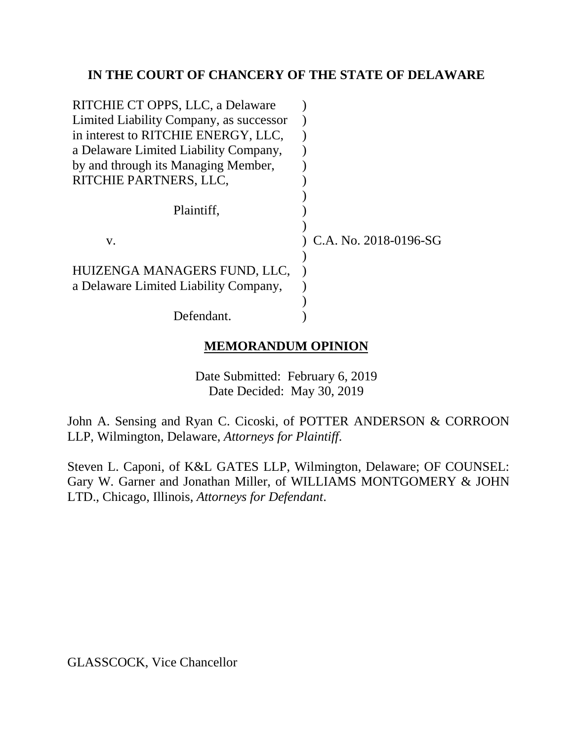# **IN THE COURT OF CHANCERY OF THE STATE OF DELAWARE**

| RITCHIE CT OPPS, LLC, a Delaware                                      |                         |
|-----------------------------------------------------------------------|-------------------------|
| Limited Liability Company, as successor                               |                         |
| in interest to RITCHIE ENERGY, LLC,                                   |                         |
| a Delaware Limited Liability Company,                                 |                         |
| by and through its Managing Member,                                   |                         |
| RITCHIE PARTNERS, LLC,                                                |                         |
| Plaintiff,                                                            |                         |
| v.                                                                    | ) C.A. No. 2018-0196-SG |
| HUIZENGA MANAGERS FUND, LLC,<br>a Delaware Limited Liability Company, |                         |
|                                                                       |                         |
| Defendant.                                                            |                         |

# **MEMORANDUM OPINION**

Date Submitted: February 6, 2019 Date Decided: May 30, 2019

John A. Sensing and Ryan C. Cicoski, of POTTER ANDERSON & CORROON LLP, Wilmington, Delaware, *Attorneys for Plaintiff*.

Steven L. Caponi, of K&L GATES LLP, Wilmington, Delaware; OF COUNSEL: Gary W. Garner and Jonathan Miller, of WILLIAMS MONTGOMERY & JOHN LTD., Chicago, Illinois, *Attorneys for Defendant*.

GLASSCOCK, Vice Chancellor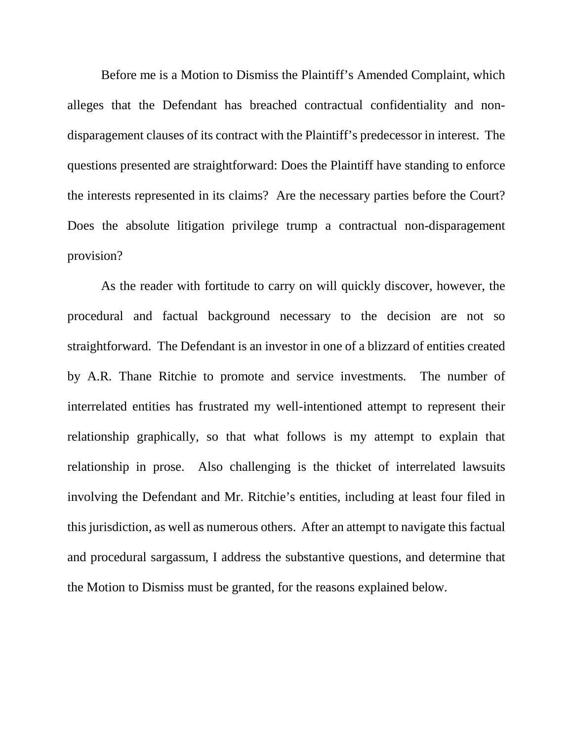Before me is a Motion to Dismiss the Plaintiff's Amended Complaint, which alleges that the Defendant has breached contractual confidentiality and nondisparagement clauses of its contract with the Plaintiff's predecessor in interest. The questions presented are straightforward: Does the Plaintiff have standing to enforce the interests represented in its claims? Are the necessary parties before the Court? Does the absolute litigation privilege trump a contractual non-disparagement provision?

As the reader with fortitude to carry on will quickly discover, however, the procedural and factual background necessary to the decision are not so straightforward. The Defendant is an investor in one of a blizzard of entities created by A.R. Thane Ritchie to promote and service investments. The number of interrelated entities has frustrated my well-intentioned attempt to represent their relationship graphically, so that what follows is my attempt to explain that relationship in prose. Also challenging is the thicket of interrelated lawsuits involving the Defendant and Mr. Ritchie's entities, including at least four filed in this jurisdiction, as well as numerous others. After an attempt to navigate this factual and procedural sargassum, I address the substantive questions, and determine that the Motion to Dismiss must be granted, for the reasons explained below.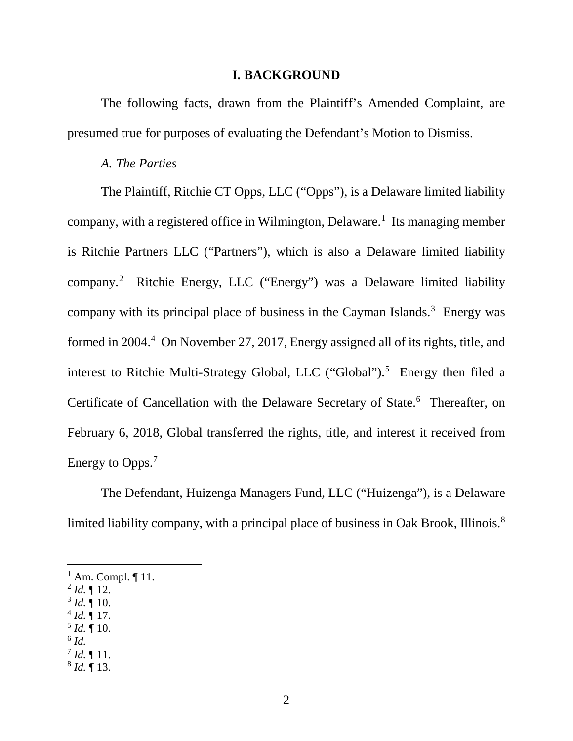#### **I. BACKGROUND**

The following facts, drawn from the Plaintiff's Amended Complaint, are presumed true for purposes of evaluating the Defendant's Motion to Dismiss.

#### *A. The Parties*

The Plaintiff, Ritchie CT Opps, LLC ("Opps"), is a Delaware limited liability company, with a registered office in Wilmington, Delaware.<sup>1</sup> Its managing member is Ritchie Partners LLC ("Partners"), which is also a Delaware limited liability company. 2 Ritchie Energy, LLC ("Energy") was a Delaware limited liability company with its principal place of business in the Cayman Islands. $3$  Energy was formed in 2004.<sup>4</sup> On November 27, 2017, Energy assigned all of its rights, title, and interest to Ritchie Multi-Strategy Global, LLC ("Global").<sup>5</sup> Energy then filed a Certificate of Cancellation with the Delaware Secretary of State.<sup>6</sup> Thereafter, on February 6, 2018, Global transferred the rights, title, and interest it received from Energy to Opps.<sup>7</sup>

The Defendant, Huizenga Managers Fund, LLC ("Huizenga"), is a Delaware limited liability company, with a principal place of business in Oak Brook, Illinois.<sup>8</sup>

- $^{2}$  *Id.* ¶ 12.
- $3$  *Id.*  $\frac{9}{10}$ .
- $^{4}$  *Id.* ¶ 17.
- $^5$  *Id.*  $\P$  10.
- $^6$  *Id.*
- $^{7}$  *Id.*  $\P$  11.
- <sup>8</sup> *Id.* ¶ 13.

 $<sup>1</sup>$  Am. Compl.  $\P$  11.</sup>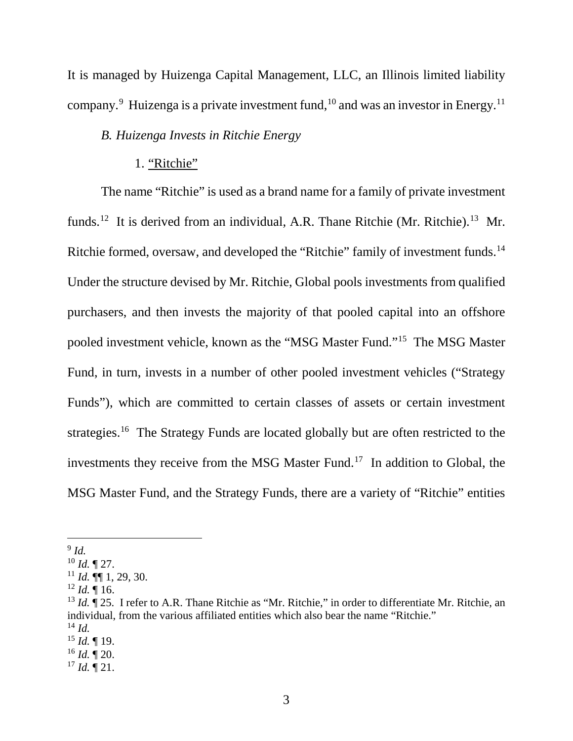It is managed by Huizenga Capital Management, LLC, an Illinois limited liability company.<sup>9</sup> Huizenga is a private investment fund,  $10$  and was an investor in Energy.<sup>11</sup>

### *B. Huizenga Invests in Ritchie Energy*

#### 1. "Ritchie"

The name "Ritchie" is used as a brand name for a family of private investment funds.<sup>12</sup> It is derived from an individual, A.R. Thane Ritchie (Mr. Ritchie).<sup>13</sup> Mr. Ritchie formed, oversaw, and developed the "Ritchie" family of investment funds.<sup>14</sup> Under the structure devised by Mr. Ritchie, Global pools investments from qualified purchasers, and then invests the majority of that pooled capital into an offshore pooled investment vehicle, known as the "MSG Master Fund."15 The MSG Master Fund, in turn, invests in a number of other pooled investment vehicles ("Strategy Funds"), which are committed to certain classes of assets or certain investment strategies.<sup>16</sup> The Strategy Funds are located globally but are often restricted to the investments they receive from the MSG Master Fund.<sup>17</sup> In addition to Global, the MSG Master Fund, and the Strategy Funds, there are a variety of "Ritchie" entities

 $9$  *Id.* 

<sup>10</sup> *Id.* ¶ 27.

<sup>11</sup> *Id.* ¶¶ 1, 29, 30.

 $12$  *Id.* 16.

<sup>&</sup>lt;sup>13</sup> *Id.*  $\vec{\textbf{T}}$  25. I refer to A.R. Thane Ritchie as "Mr. Ritchie," in order to differentiate Mr. Ritchie, an individual, from the various affiliated entities which also bear the name "Ritchie." <sup>14</sup> *Id.*

<sup>15</sup> *Id.* ¶ 19.

 $16$  *Id.*  $\P$  20.

<sup>17</sup> *Id.* ¶ 21.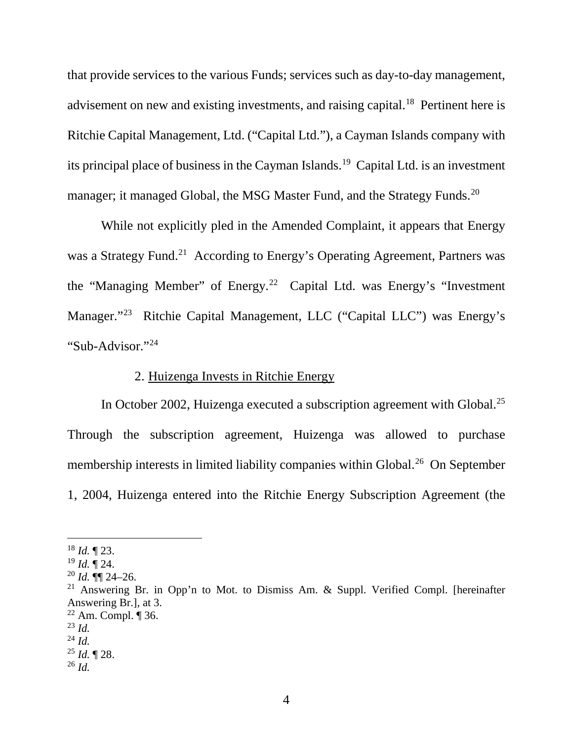that provide services to the various Funds; services such as day-to-day management, advisement on new and existing investments, and raising capital.<sup>18</sup> Pertinent here is Ritchie Capital Management, Ltd. ("Capital Ltd."), a Cayman Islands company with its principal place of business in the Cayman Islands. 19 Capital Ltd. is an investment manager; it managed Global, the MSG Master Fund, and the Strategy Funds.<sup>20</sup>

While not explicitly pled in the Amended Complaint, it appears that Energy was a Strategy Fund.<sup>21</sup> According to Energy's Operating Agreement, Partners was the "Managing Member" of Energy. 22 Capital Ltd. was Energy's "Investment Manager."23 Ritchie Capital Management, LLC ("Capital LLC") was Energy's "Sub-Advisor."24

### 2. Huizenga Invests in Ritchie Energy

In October 2002, Huizenga executed a subscription agreement with Global.<sup>25</sup> Through the subscription agreement, Huizenga was allowed to purchase membership interests in limited liability companies within Global.<sup>26</sup> On September 1, 2004, Huizenga entered into the Ritchie Energy Subscription Agreement (the

 <sup>18</sup> *Id.* ¶ 23.

<sup>19</sup> *Id.* ¶ 24.

 $^{20}$  *Id.*  $\mathbb{q}$  24–26.

<sup>&</sup>lt;sup>21</sup> Answering Br. in Opp'n to Mot. to Dismiss Am.  $\&$  Suppl. Verified Compl. [hereinafter Answering Br.], at 3.

 $22$  Am. Compl.  $\P$  36.

<sup>23</sup> *Id.*

<sup>24</sup> *Id.*

<sup>25</sup> *Id.* ¶ 28.

<sup>26</sup> *Id.*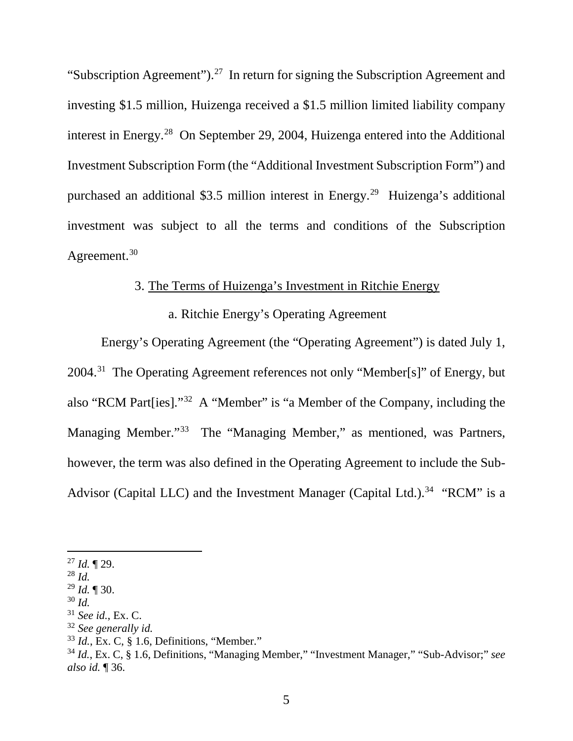"Subscription Agreement").<sup>27</sup> In return for signing the Subscription Agreement and investing \$1.5 million, Huizenga received a \$1.5 million limited liability company interest in Energy. 28 On September 29, 2004, Huizenga entered into the Additional Investment Subscription Form (the "Additional Investment Subscription Form") and purchased an additional \$3.5 million interest in Energy. 29 Huizenga's additional investment was subject to all the terms and conditions of the Subscription Agreement.<sup>30</sup>

# 3. The Terms of Huizenga's Investment in Ritchie Energy

# a. Ritchie Energy's Operating Agreement

Energy's Operating Agreement (the "Operating Agreement") is dated July 1, 2004.31 The Operating Agreement references not only "Member[s]" of Energy, but also "RCM Part[ies]."32 A "Member" is "a Member of the Company, including the Managing Member."<sup>33</sup> The "Managing Member," as mentioned, was Partners, however, the term was also defined in the Operating Agreement to include the Sub-Advisor (Capital LLC) and the Investment Manager (Capital Ltd.).<sup>34</sup> "RCM" is a

 <sup>27</sup> *Id.* ¶ 29.

<sup>28</sup> *Id.*

<sup>29</sup> *Id.* ¶ 30.

<sup>30</sup> *Id.*

<sup>31</sup> *See id.*, Ex. C.

<sup>32</sup> *See generally id.*

<sup>33</sup> *Id.*, Ex. C, § 1.6, Definitions, "Member."

<sup>34</sup> *Id.*, Ex. C, § 1.6, Definitions, "Managing Member," "Investment Manager," "Sub-Advisor;" *see also id.* ¶ 36.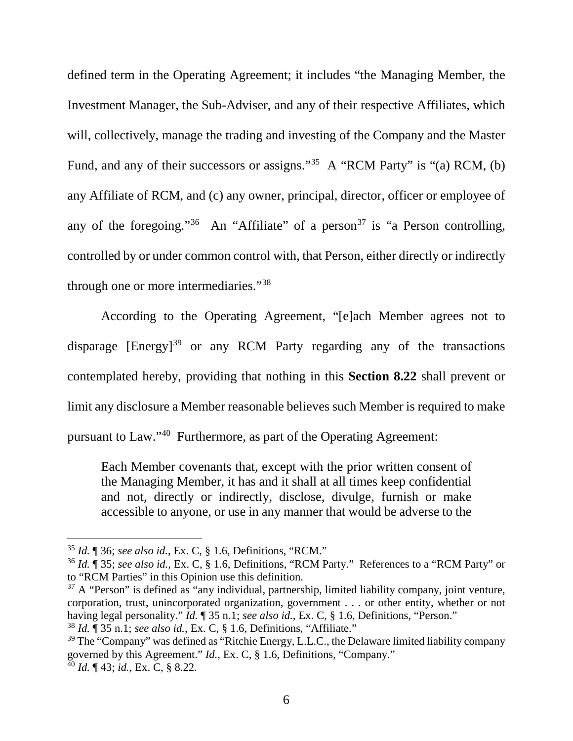defined term in the Operating Agreement; it includes "the Managing Member, the Investment Manager, the Sub-Adviser, and any of their respective Affiliates, which will, collectively, manage the trading and investing of the Company and the Master Fund, and any of their successors or assigns."<sup>35</sup> A "RCM Party" is "(a) RCM, (b) any Affiliate of RCM, and (c) any owner, principal, director, officer or employee of any of the foregoing."<sup>36</sup> An "Affiliate" of a person<sup>37</sup> is "a Person controlling, controlled by or under common control with, that Person, either directly or indirectly through one or more intermediaries."38

According to the Operating Agreement, "[e]ach Member agrees not to disparage  $[Energy]^{39}$  or any RCM Party regarding any of the transactions contemplated hereby, providing that nothing in this **Section 8.22** shall prevent or limit any disclosure a Member reasonable believes such Member is required to make pursuant to Law."40 Furthermore, as part of the Operating Agreement:

Each Member covenants that, except with the prior written consent of the Managing Member, it has and it shall at all times keep confidential and not, directly or indirectly, disclose, divulge, furnish or make accessible to anyone, or use in any manner that would be adverse to the

 <sup>35</sup> *Id.* ¶ 36; *see also id.*, Ex. C, § 1.6, Definitions, "RCM."

<sup>36</sup> *Id.* ¶ 35; *see also id.*, Ex. C, § 1.6, Definitions, "RCM Party." References to a "RCM Party" or to "RCM Parties" in this Opinion use this definition.

 $37$  A "Person" is defined as "any individual, partnership, limited liability company, joint venture, corporation, trust, unincorporated organization, government . . . or other entity, whether or not having legal personality." *Id.* ¶ 35 n.1; *see also id.*, Ex. C, § 1.6, Definitions, "Person." <sup>38</sup> *Id.* ¶ 35 n.1; *see also id.*, Ex. C, § 1.6, Definitions, "Affiliate."

 $39$  The "Company" was defined as "Ritchie Energy, L.L.C., the Delaware limited liability company governed by this Agreement." *Id.*, Ex. C, § 1.6, Definitions, "Company." <sup>40</sup> *Id.* ¶ 43; *id.*, Ex. C, § 8.22.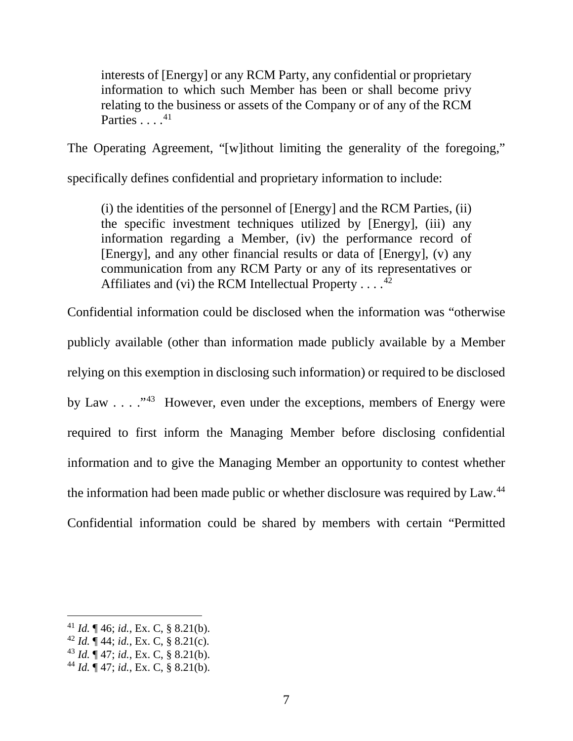interests of [Energy] or any RCM Party, any confidential or proprietary information to which such Member has been or shall become privy relating to the business or assets of the Company or of any of the RCM Parties  $\ldots$ .<sup>41</sup>

The Operating Agreement, "[w]ithout limiting the generality of the foregoing,"

specifically defines confidential and proprietary information to include:

(i) the identities of the personnel of [Energy] and the RCM Parties, (ii) the specific investment techniques utilized by [Energy], (iii) any information regarding a Member, (iv) the performance record of [Energy], and any other financial results or data of [Energy], (v) any communication from any RCM Party or any of its representatives or Affiliates and (vi) the RCM Intellectual Property . . .  $^{42}$ 

Confidential information could be disclosed when the information was "otherwise publicly available (other than information made publicly available by a Member relying on this exemption in disclosing such information) or required to be disclosed by Law  $\dots$   $\cdot$   $\cdot$   $\cdot$  However, even under the exceptions, members of Energy were required to first inform the Managing Member before disclosing confidential information and to give the Managing Member an opportunity to contest whether the information had been made public or whether disclosure was required by Law.<sup>44</sup> Confidential information could be shared by members with certain "Permitted

 <sup>41</sup> *Id.* ¶ 46; *id.*, Ex. C, § 8.21(b).

<sup>42</sup> *Id.* ¶ 44; *id.*, Ex. C, § 8.21(c).

<sup>43</sup> *Id.* ¶ 47; *id.*, Ex. C, § 8.21(b).

<sup>44</sup> *Id.* ¶ 47; *id.*, Ex. C, § 8.21(b).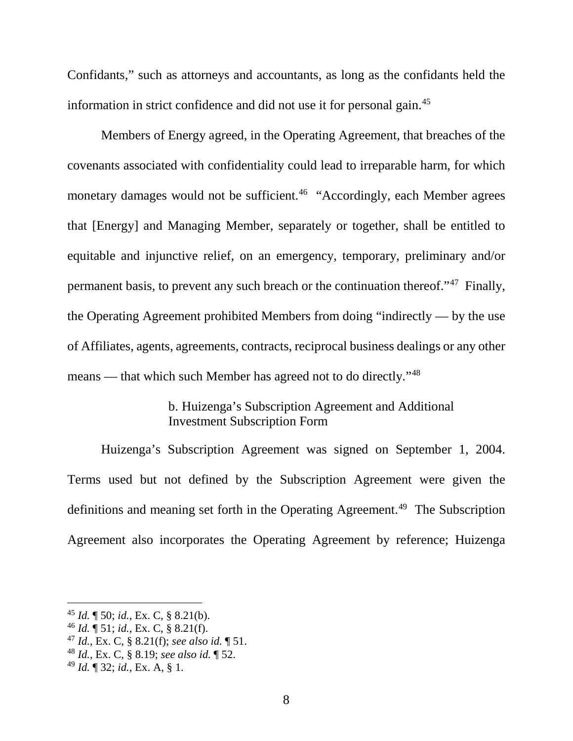Confidants," such as attorneys and accountants, as long as the confidants held the information in strict confidence and did not use it for personal gain.45

Members of Energy agreed, in the Operating Agreement, that breaches of the covenants associated with confidentiality could lead to irreparable harm, for which monetary damages would not be sufficient.<sup>46</sup> "Accordingly, each Member agrees that [Energy] and Managing Member, separately or together, shall be entitled to equitable and injunctive relief, on an emergency, temporary, preliminary and/or permanent basis, to prevent any such breach or the continuation thereof."47 Finally, the Operating Agreement prohibited Members from doing "indirectly — by the use of Affiliates, agents, agreements, contracts, reciprocal business dealings or any other means — that which such Member has agreed not to do directly."48

## b. Huizenga's Subscription Agreement and Additional Investment Subscription Form

Huizenga's Subscription Agreement was signed on September 1, 2004. Terms used but not defined by the Subscription Agreement were given the definitions and meaning set forth in the Operating Agreement.<sup>49</sup> The Subscription Agreement also incorporates the Operating Agreement by reference; Huizenga

 <sup>45</sup> *Id.* ¶ 50; *id.*, Ex. C, § 8.21(b).

<sup>46</sup> *Id.* ¶ 51; *id.*, Ex. C, § 8.21(f).

<sup>47</sup> *Id.*, Ex. C, § 8.21(f); *see also id.* ¶ 51.

<sup>48</sup> *Id.*, Ex. C, § 8.19; *see also id.* ¶ 52.

<sup>49</sup> *Id.* ¶ 32; *id.*, Ex. A, § 1.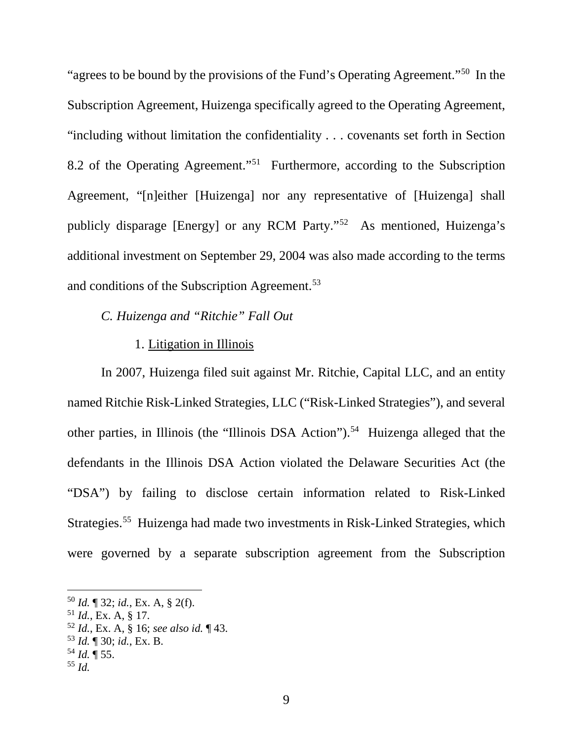"agrees to be bound by the provisions of the Fund's Operating Agreement."50 In the Subscription Agreement, Huizenga specifically agreed to the Operating Agreement, "including without limitation the confidentiality . . . covenants set forth in Section 8.2 of the Operating Agreement."51 Furthermore, according to the Subscription Agreement, "[n]either [Huizenga] nor any representative of [Huizenga] shall publicly disparage [Energy] or any RCM Party."52 As mentioned, Huizenga's additional investment on September 29, 2004 was also made according to the terms and conditions of the Subscription Agreement.<sup>53</sup>

# *C. Huizenga and "Ritchie" Fall Out*

#### 1. Litigation in Illinois

In 2007, Huizenga filed suit against Mr. Ritchie, Capital LLC, and an entity named Ritchie Risk-Linked Strategies, LLC ("Risk-Linked Strategies"), and several other parties, in Illinois (the "Illinois DSA Action"). 54 Huizenga alleged that the defendants in the Illinois DSA Action violated the Delaware Securities Act (the "DSA") by failing to disclose certain information related to Risk-Linked Strategies.<sup>55</sup> Huizenga had made two investments in Risk-Linked Strategies, which were governed by a separate subscription agreement from the Subscription

- <sup>52</sup> *Id.*, Ex. A, § 16; *see also id.* ¶ 43.
- <sup>53</sup> *Id.* ¶ 30; *id.*, Ex. B.
- <sup>54</sup> *Id.* ¶ 55.
- <sup>55</sup> *Id.*

 <sup>50</sup> *Id.* ¶ 32; *id.*, Ex. A, § 2(f).

 $^{51}$  *Id.*, Ex. A, § 17.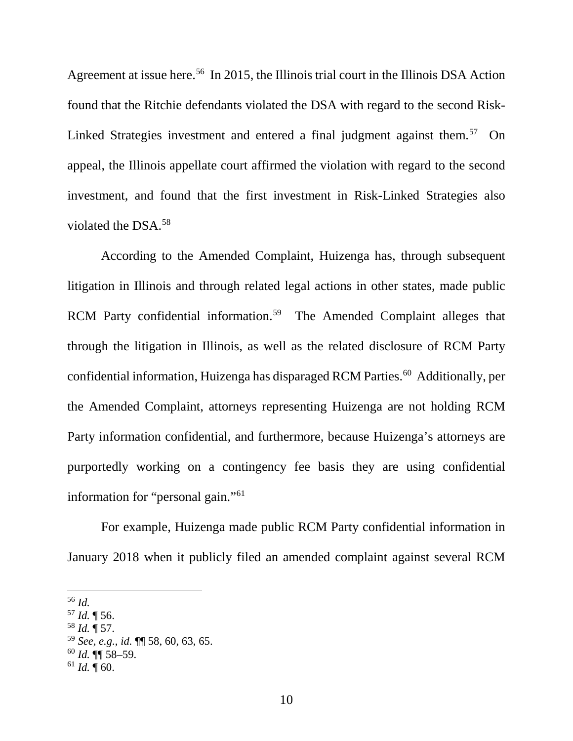Agreement at issue here.<sup>56</sup> In 2015, the Illinois trial court in the Illinois DSA Action found that the Ritchie defendants violated the DSA with regard to the second Risk-Linked Strategies investment and entered a final judgment against them.<sup>57</sup> On appeal, the Illinois appellate court affirmed the violation with regard to the second investment, and found that the first investment in Risk-Linked Strategies also violated the DSA. 58

According to the Amended Complaint, Huizenga has, through subsequent litigation in Illinois and through related legal actions in other states, made public RCM Party confidential information.<sup>59</sup> The Amended Complaint alleges that through the litigation in Illinois, as well as the related disclosure of RCM Party confidential information, Huizenga has disparaged RCM Parties.<sup>60</sup> Additionally, per the Amended Complaint, attorneys representing Huizenga are not holding RCM Party information confidential, and furthermore, because Huizenga's attorneys are purportedly working on a contingency fee basis they are using confidential information for "personal gain."61

For example, Huizenga made public RCM Party confidential information in January 2018 when it publicly filed an amended complaint against several RCM

<sup>58</sup> *Id.* ¶ 57.

<sup>60</sup> *Id.* ¶¶ 58–59.

 <sup>56</sup> *Id.*

<sup>57</sup> *Id.* ¶ 56.

<sup>59</sup> *See, e.g.*, *id.* ¶¶ 58, 60, 63, 65.

<sup>61</sup> *Id.* ¶ 60.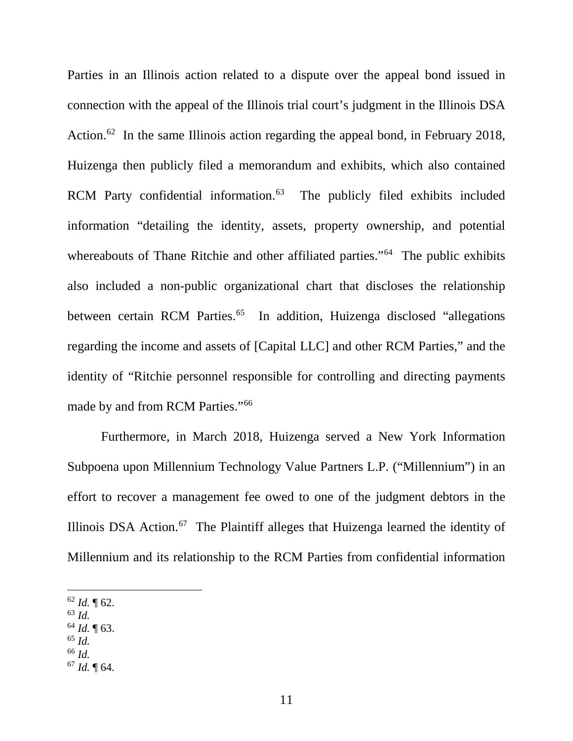Parties in an Illinois action related to a dispute over the appeal bond issued in connection with the appeal of the Illinois trial court's judgment in the Illinois DSA Action.<sup>62</sup> In the same Illinois action regarding the appeal bond, in February 2018, Huizenga then publicly filed a memorandum and exhibits, which also contained RCM Party confidential information.<sup>63</sup> The publicly filed exhibits included information "detailing the identity, assets, property ownership, and potential whereabouts of Thane Ritchie and other affiliated parties."<sup>64</sup> The public exhibits also included a non-public organizational chart that discloses the relationship between certain RCM Parties.<sup>65</sup> In addition, Huizenga disclosed "allegations" regarding the income and assets of [Capital LLC] and other RCM Parties," and the identity of "Ritchie personnel responsible for controlling and directing payments made by and from RCM Parties."66

Furthermore, in March 2018, Huizenga served a New York Information Subpoena upon Millennium Technology Value Partners L.P. ("Millennium") in an effort to recover a management fee owed to one of the judgment debtors in the Illinois DSA Action.67 The Plaintiff alleges that Huizenga learned the identity of Millennium and its relationship to the RCM Parties from confidential information

- <sup>63</sup> *Id.*
- <sup>64</sup> *Id.* ¶ 63. <sup>65</sup> *Id.*
- <sup>66</sup> *Id.*
- <sup>67</sup> *Id.* ¶ 64.

 $62$  *Id.*  $\sqrt{62}$ .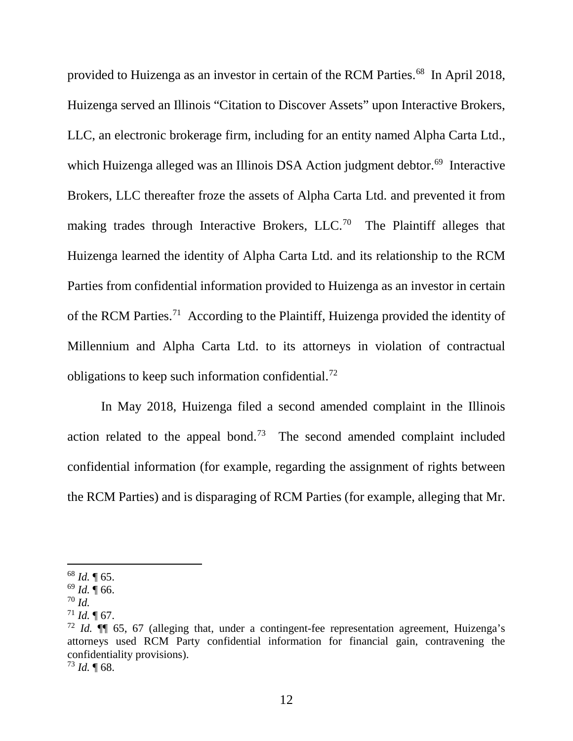provided to Huizenga as an investor in certain of the RCM Parties.<sup>68</sup> In April 2018, Huizenga served an Illinois "Citation to Discover Assets" upon Interactive Brokers, LLC, an electronic brokerage firm, including for an entity named Alpha Carta Ltd., which Huizenga alleged was an Illinois DSA Action judgment debtor.<sup>69</sup> Interactive Brokers, LLC thereafter froze the assets of Alpha Carta Ltd. and prevented it from making trades through Interactive Brokers, LLC.70 The Plaintiff alleges that Huizenga learned the identity of Alpha Carta Ltd. and its relationship to the RCM Parties from confidential information provided to Huizenga as an investor in certain of the RCM Parties.71 According to the Plaintiff, Huizenga provided the identity of Millennium and Alpha Carta Ltd. to its attorneys in violation of contractual obligations to keep such information confidential.72

In May 2018, Huizenga filed a second amended complaint in the Illinois action related to the appeal bond.<sup>73</sup> The second amended complaint included confidential information (for example, regarding the assignment of rights between the RCM Parties) and is disparaging of RCM Parties (for example, alleging that Mr.

 $^{73}$  *Id.*  $\llbracket 68.$ 

 <sup>68</sup> *Id.* ¶ 65.

<sup>69</sup> *Id.* ¶ 66.

<sup>70</sup> *Id.*

 $^{71}$  *Id.* ¶ 67.

<sup>72</sup> *Id.* ¶¶ 65, 67 (alleging that, under a contingent-fee representation agreement, Huizenga's attorneys used RCM Party confidential information for financial gain, contravening the confidentiality provisions).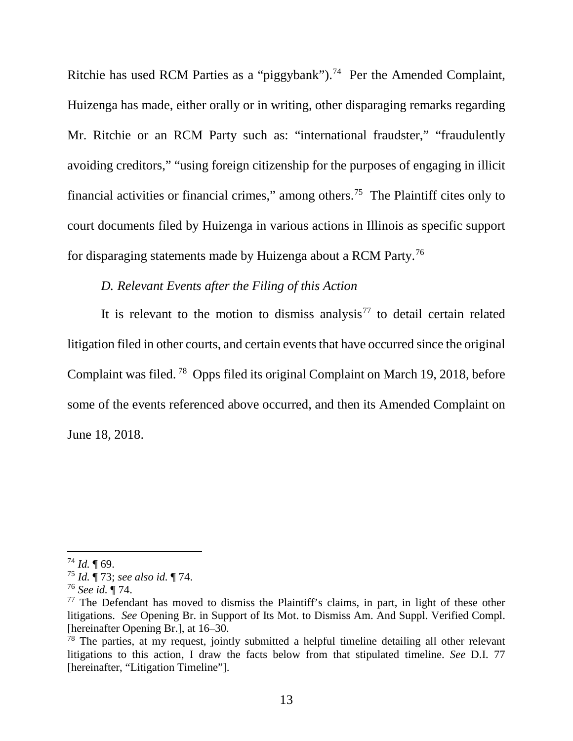Ritchie has used RCM Parties as a "piggybank").<sup>74</sup> Per the Amended Complaint, Huizenga has made, either orally or in writing, other disparaging remarks regarding Mr. Ritchie or an RCM Party such as: "international fraudster," "fraudulently avoiding creditors," "using foreign citizenship for the purposes of engaging in illicit financial activities or financial crimes," among others.75 The Plaintiff cites only to court documents filed by Huizenga in various actions in Illinois as specific support for disparaging statements made by Huizenga about a RCM Party. 76

## *D. Relevant Events after the Filing of this Action*

It is relevant to the motion to dismiss analysis<sup>77</sup> to detail certain related litigation filed in other courts, and certain events that have occurred since the original Complaint was filed. 78 Opps filed its original Complaint on March 19, 2018, before some of the events referenced above occurred, and then its Amended Complaint on June 18, 2018.

 $^{74}$  *Id.*  $\sqrt{ }$  69.

<sup>75</sup> *Id.* ¶ 73; *see also id.* ¶ 74.

<sup>76</sup> *See id.* ¶ 74.

 $77$  The Defendant has moved to dismiss the Plaintiff's claims, in part, in light of these other litigations. *See* Opening Br. in Support of Its Mot. to Dismiss Am. And Suppl. Verified Compl. [hereinafter Opening Br.], at 16–30.

 $78$  The parties, at my request, jointly submitted a helpful timeline detailing all other relevant litigations to this action, I draw the facts below from that stipulated timeline. *See* D.I. 77 [hereinafter, "Litigation Timeline"].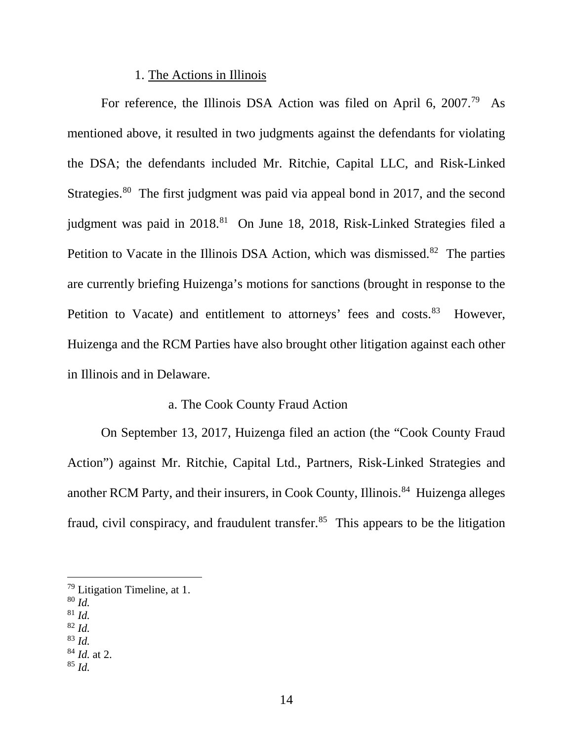#### 1. The Actions in Illinois

For reference, the Illinois DSA Action was filed on April 6, 2007.<sup>79</sup> As mentioned above, it resulted in two judgments against the defendants for violating the DSA; the defendants included Mr. Ritchie, Capital LLC, and Risk-Linked Strategies.<sup>80</sup> The first judgment was paid via appeal bond in 2017, and the second judgment was paid in 2018.<sup>81</sup> On June 18, 2018, Risk-Linked Strategies filed a Petition to Vacate in the Illinois DSA Action, which was dismissed.<sup>82</sup> The parties are currently briefing Huizenga's motions for sanctions (brought in response to the Petition to Vacate) and entitlement to attorneys' fees and costs.<sup>83</sup> However, Huizenga and the RCM Parties have also brought other litigation against each other in Illinois and in Delaware.

#### a. The Cook County Fraud Action

On September 13, 2017, Huizenga filed an action (the "Cook County Fraud Action") against Mr. Ritchie, Capital Ltd., Partners, Risk-Linked Strategies and another RCM Party, and their insurers, in Cook County, Illinois. 84 Huizenga alleges fraud, civil conspiracy, and fraudulent transfer.<sup>85</sup> This appears to be the litigation

<sup>83</sup> *Id.*

 $79$  Litigation Timeline, at 1.

<sup>80</sup> *Id.*

<sup>81</sup> *Id.*

<sup>82</sup> *Id.*

<sup>84</sup> *Id.* at 2. <sup>85</sup> *Id.*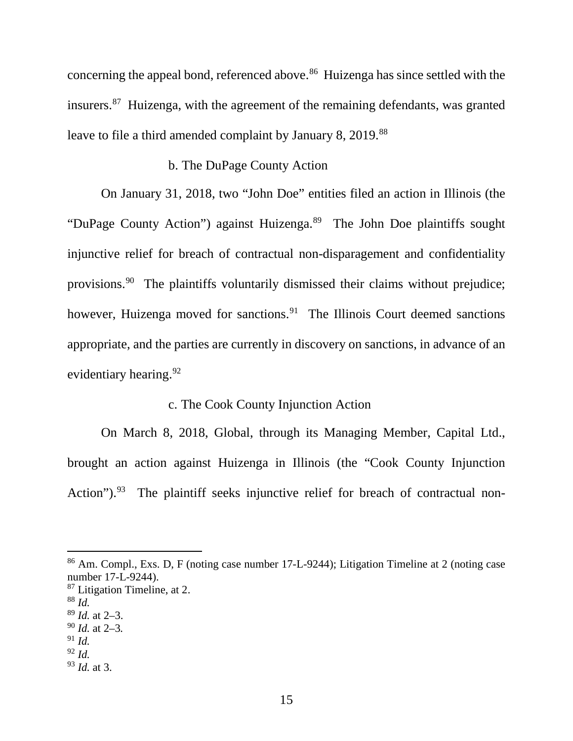concerning the appeal bond, referenced above.<sup>86</sup> Huizenga has since settled with the insurers.87 Huizenga, with the agreement of the remaining defendants, was granted leave to file a third amended complaint by January 8, 2019.<sup>88</sup>

## b. The DuPage County Action

On January 31, 2018, two "John Doe" entities filed an action in Illinois (the "DuPage County Action") against Huizenga.<sup>89</sup> The John Doe plaintiffs sought injunctive relief for breach of contractual non-disparagement and confidentiality provisions.<sup>90</sup> The plaintiffs voluntarily dismissed their claims without prejudice; however, Huizenga moved for sanctions.<sup>91</sup> The Illinois Court deemed sanctions appropriate, and the parties are currently in discovery on sanctions, in advance of an evidentiary hearing.<sup>92</sup>

# c. The Cook County Injunction Action

On March 8, 2018, Global, through its Managing Member, Capital Ltd., brought an action against Huizenga in Illinois (the "Cook County Injunction Action").<sup>93</sup> The plaintiff seeks injunctive relief for breach of contractual non-

<sup>92</sup> *Id.*

 <sup>86</sup> Am. Compl., Exs. D, F (noting case number 17-L-9244); Litigation Timeline at 2 (noting case number 17-L-9244).

<sup>&</sup>lt;sup>87</sup> Litigation Timeline, at 2.

<sup>88</sup> *Id.*

<sup>89</sup> *Id.* at 2–3.

<sup>90</sup> *Id.* at 2–3*.*

<sup>91</sup> *Id.*

<sup>93</sup> *Id.* at 3.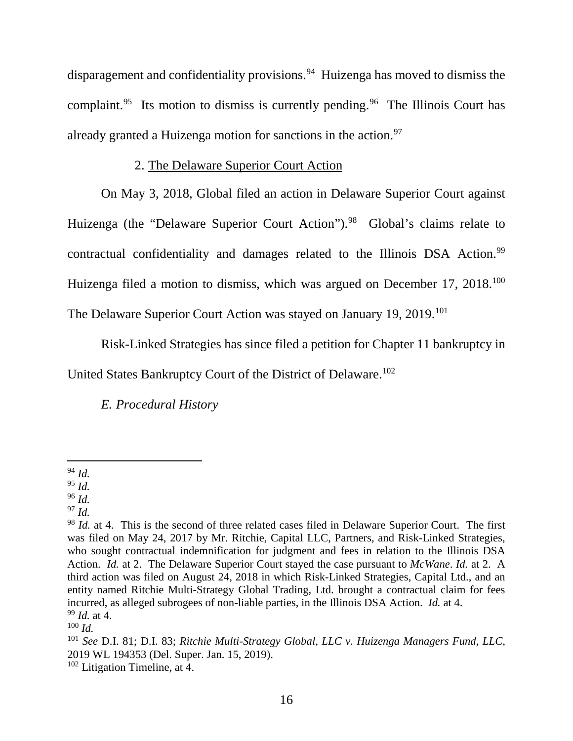disparagement and confidentiality provisions. 94 Huizenga has moved to dismiss the complaint.<sup>95</sup> Its motion to dismiss is currently pending.<sup>96</sup> The Illinois Court has already granted a Huizenga motion for sanctions in the action.<sup>97</sup>

## 2. The Delaware Superior Court Action

On May 3, 2018, Global filed an action in Delaware Superior Court against Huizenga (the "Delaware Superior Court Action").<sup>98</sup> Global's claims relate to contractual confidentiality and damages related to the Illinois DSA Action.<sup>99</sup> Huizenga filed a motion to dismiss, which was argued on December 17, 2018.<sup>100</sup> The Delaware Superior Court Action was stayed on January 19, 2019.<sup>101</sup>

Risk-Linked Strategies has since filed a petition for Chapter 11 bankruptcy in

United States Bankruptcy Court of the District of Delaware.102

*E. Procedural History*

 <sup>94</sup> *Id.*

<sup>95</sup> *Id.*

<sup>96</sup> *Id.*

<sup>97</sup> *Id.*

<sup>98</sup> *Id.* at 4. This is the second of three related cases filed in Delaware Superior Court. The first was filed on May 24, 2017 by Mr. Ritchie, Capital LLC, Partners, and Risk-Linked Strategies, who sought contractual indemnification for judgment and fees in relation to the Illinois DSA Action. *Id.* at 2. The Delaware Superior Court stayed the case pursuant to *McWane*. *Id.* at 2. A third action was filed on August 24, 2018 in which Risk-Linked Strategies, Capital Ltd., and an entity named Ritchie Multi-Strategy Global Trading, Ltd. brought a contractual claim for fees incurred, as alleged subrogees of non-liable parties, in the Illinois DSA Action. *Id.* at 4. <sup>99</sup> *Id.* at 4.

<sup>100</sup> *Id.*

<sup>101</sup> *See* D.I. 81; D.I. 83; *Ritchie Multi-Strategy Global, LLC v. Huizenga Managers Fund, LLC*, 2019 WL 194353 (Del. Super. Jan. 15, 2019).

 $102$  Litigation Timeline, at 4.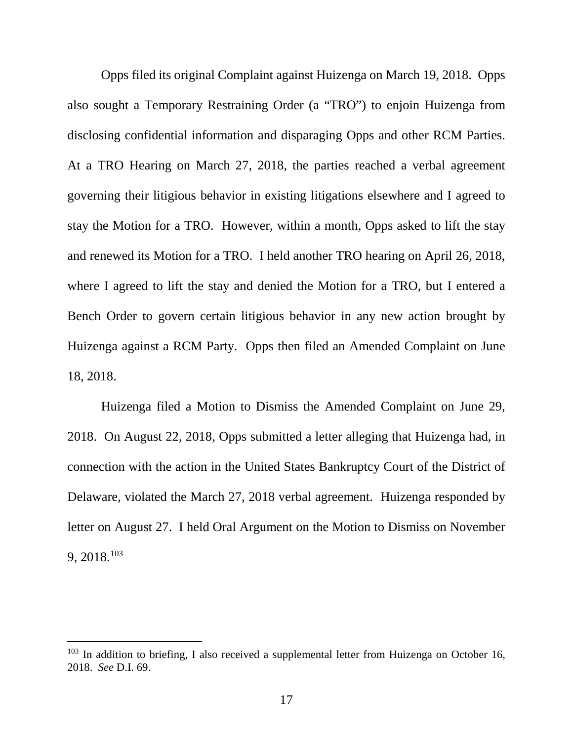Opps filed its original Complaint against Huizenga on March 19, 2018. Opps also sought a Temporary Restraining Order (a "TRO") to enjoin Huizenga from disclosing confidential information and disparaging Opps and other RCM Parties. At a TRO Hearing on March 27, 2018, the parties reached a verbal agreement governing their litigious behavior in existing litigations elsewhere and I agreed to stay the Motion for a TRO. However, within a month, Opps asked to lift the stay and renewed its Motion for a TRO. I held another TRO hearing on April 26, 2018, where I agreed to lift the stay and denied the Motion for a TRO, but I entered a Bench Order to govern certain litigious behavior in any new action brought by Huizenga against a RCM Party. Opps then filed an Amended Complaint on June 18, 2018.

Huizenga filed a Motion to Dismiss the Amended Complaint on June 29, 2018. On August 22, 2018, Opps submitted a letter alleging that Huizenga had, in connection with the action in the United States Bankruptcy Court of the District of Delaware, violated the March 27, 2018 verbal agreement. Huizenga responded by letter on August 27. I held Oral Argument on the Motion to Dismiss on November 9, 2018.103

 $103$  In addition to briefing, I also received a supplemental letter from Huizenga on October 16, 2018. *See* D.I. 69.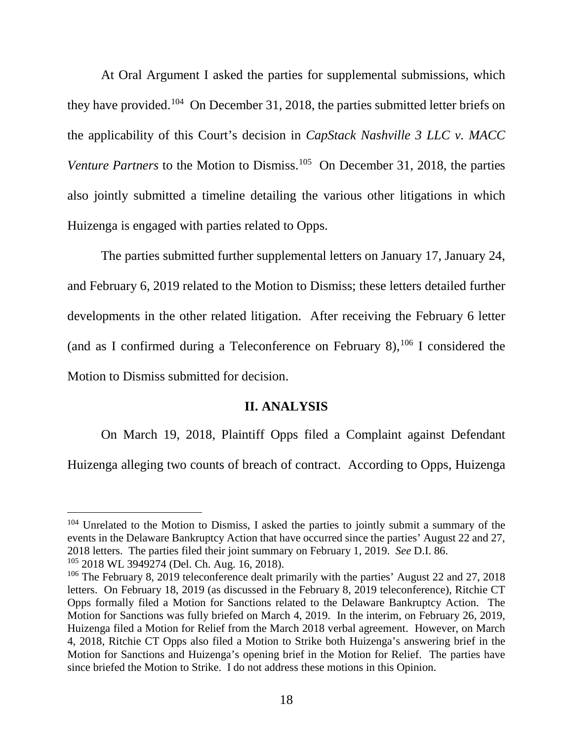At Oral Argument I asked the parties for supplemental submissions, which they have provided.104 On December 31, 2018, the parties submitted letter briefs on the applicability of this Court's decision in *CapStack Nashville 3 LLC v. MACC*  Venture Partners to the Motion to Dismiss.<sup>105</sup> On December 31, 2018, the parties also jointly submitted a timeline detailing the various other litigations in which Huizenga is engaged with parties related to Opps.

The parties submitted further supplemental letters on January 17, January 24, and February 6, 2019 related to the Motion to Dismiss; these letters detailed further developments in the other related litigation. After receiving the February 6 letter (and as I confirmed during a Teleconference on February 8),  $106$  I considered the Motion to Dismiss submitted for decision.

#### **II. ANALYSIS**

On March 19, 2018, Plaintiff Opps filed a Complaint against Defendant Huizenga alleging two counts of breach of contract. According to Opps, Huizenga

<sup>&</sup>lt;sup>104</sup> Unrelated to the Motion to Dismiss, I asked the parties to jointly submit a summary of the events in the Delaware Bankruptcy Action that have occurred since the parties' August 22 and 27, 2018 letters. The parties filed their joint summary on February 1, 2019. *See* D.I. 86.

<sup>105</sup> 2018 WL 3949274 (Del. Ch. Aug. 16, 2018).

<sup>&</sup>lt;sup>106</sup> The February 8, 2019 teleconference dealt primarily with the parties' August 22 and 27, 2018 letters. On February 18, 2019 (as discussed in the February 8, 2019 teleconference), Ritchie CT Opps formally filed a Motion for Sanctions related to the Delaware Bankruptcy Action. The Motion for Sanctions was fully briefed on March 4, 2019. In the interim, on February 26, 2019, Huizenga filed a Motion for Relief from the March 2018 verbal agreement. However, on March 4, 2018, Ritchie CT Opps also filed a Motion to Strike both Huizenga's answering brief in the Motion for Sanctions and Huizenga's opening brief in the Motion for Relief. The parties have since briefed the Motion to Strike. I do not address these motions in this Opinion.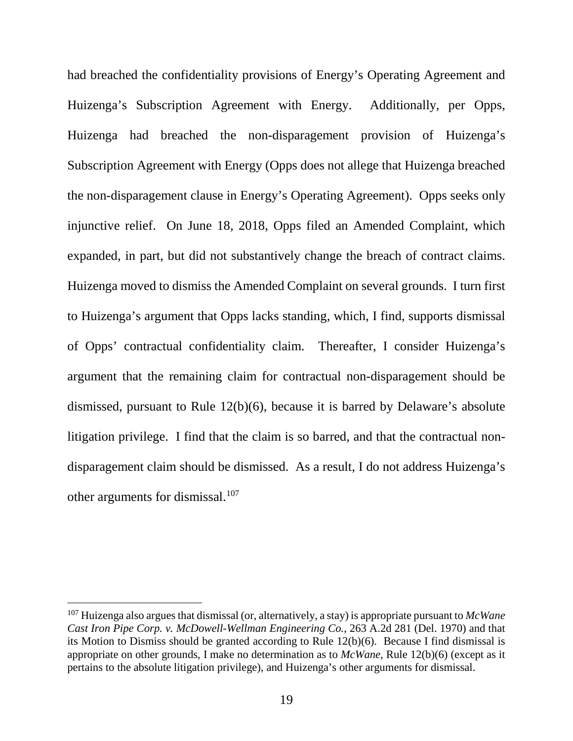had breached the confidentiality provisions of Energy's Operating Agreement and Huizenga's Subscription Agreement with Energy. Additionally, per Opps, Huizenga had breached the non-disparagement provision of Huizenga's Subscription Agreement with Energy (Opps does not allege that Huizenga breached the non-disparagement clause in Energy's Operating Agreement). Opps seeks only injunctive relief. On June 18, 2018, Opps filed an Amended Complaint, which expanded, in part, but did not substantively change the breach of contract claims. Huizenga moved to dismiss the Amended Complaint on several grounds. I turn first to Huizenga's argument that Opps lacks standing, which, I find, supports dismissal of Opps' contractual confidentiality claim. Thereafter, I consider Huizenga's argument that the remaining claim for contractual non-disparagement should be dismissed, pursuant to Rule 12(b)(6), because it is barred by Delaware's absolute litigation privilege. I find that the claim is so barred, and that the contractual nondisparagement claim should be dismissed. As a result, I do not address Huizenga's other arguments for dismissal.107

 <sup>107</sup> Huizenga also argues that dismissal (or, alternatively, a stay) is appropriate pursuant to *McWane Cast Iron Pipe Corp. v. McDowell-Wellman Engineering Co.*, 263 A.2d 281 (Del. 1970) and that its Motion to Dismiss should be granted according to Rule 12(b)(6). Because I find dismissal is appropriate on other grounds, I make no determination as to *McWane*, Rule 12(b)(6) (except as it pertains to the absolute litigation privilege), and Huizenga's other arguments for dismissal.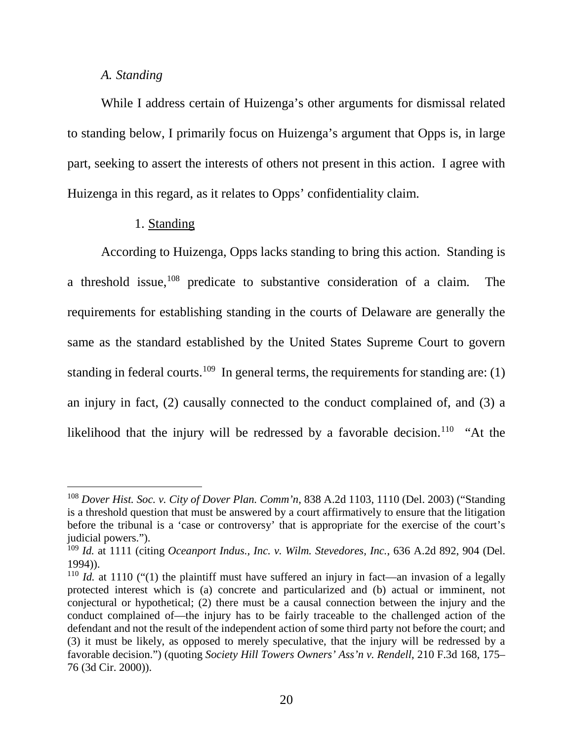#### *A. Standing*

While I address certain of Huizenga's other arguments for dismissal related to standing below, I primarily focus on Huizenga's argument that Opps is, in large part, seeking to assert the interests of others not present in this action. I agree with Huizenga in this regard, as it relates to Opps' confidentiality claim.

# 1. Standing

According to Huizenga, Opps lacks standing to bring this action. Standing is a threshold issue,  $108$  predicate to substantive consideration of a claim. The requirements for establishing standing in the courts of Delaware are generally the same as the standard established by the United States Supreme Court to govern standing in federal courts.<sup>109</sup> In general terms, the requirements for standing are: (1) an injury in fact, (2) causally connected to the conduct complained of, and (3) a likelihood that the injury will be redressed by a favorable decision.<sup>110</sup> "At the

 <sup>108</sup> *Dover Hist. Soc. v. City of Dover Plan. Comm'n*, 838 A.2d 1103, 1110 (Del. 2003) ("Standing is a threshold question that must be answered by a court affirmatively to ensure that the litigation before the tribunal is a 'case or controversy' that is appropriate for the exercise of the court's judicial powers.").

<sup>109</sup> *Id.* at 1111 (citing *Oceanport Indus., Inc. v. Wilm. Stevedores, Inc.*, 636 A.2d 892, 904 (Del. 1994)).

 $110$  *Id.* at 1110 ("(1) the plaintiff must have suffered an injury in fact—an invasion of a legally protected interest which is (a) concrete and particularized and (b) actual or imminent, not conjectural or hypothetical; (2) there must be a causal connection between the injury and the conduct complained of—the injury has to be fairly traceable to the challenged action of the defendant and not the result of the independent action of some third party not before the court; and (3) it must be likely, as opposed to merely speculative, that the injury will be redressed by a favorable decision.") (quoting *Society Hill Towers Owners' Ass'n v. Rendell*, 210 F.3d 168, 175– 76 (3d Cir. 2000)).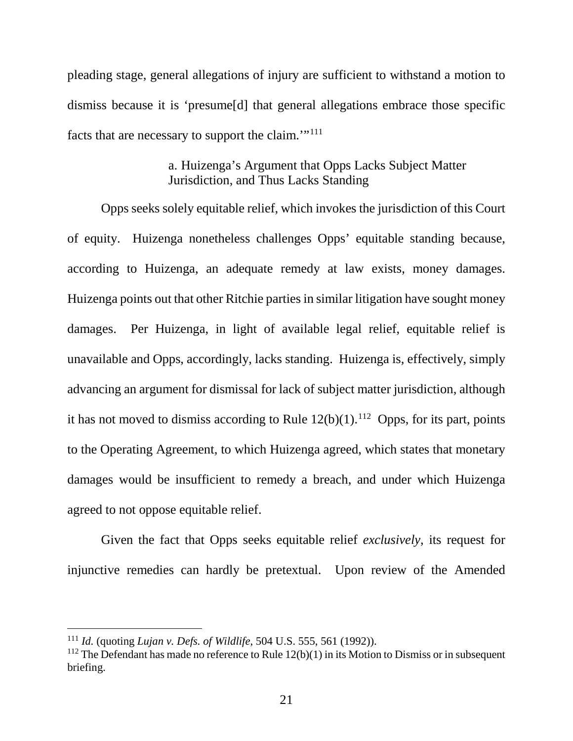pleading stage, general allegations of injury are sufficient to withstand a motion to dismiss because it is 'presume[d] that general allegations embrace those specific facts that are necessary to support the claim.'"111

# a. Huizenga's Argument that Opps Lacks Subject Matter Jurisdiction, and Thus Lacks Standing

Opps seeks solely equitable relief, which invokes the jurisdiction of this Court of equity. Huizenga nonetheless challenges Opps' equitable standing because, according to Huizenga, an adequate remedy at law exists, money damages. Huizenga points out that other Ritchie parties in similar litigation have sought money damages. Per Huizenga, in light of available legal relief, equitable relief is unavailable and Opps, accordingly, lacks standing. Huizenga is, effectively, simply advancing an argument for dismissal for lack of subject matter jurisdiction, although it has not moved to dismiss according to Rule  $12(b)(1)$ .<sup>112</sup> Opps, for its part, points to the Operating Agreement, to which Huizenga agreed, which states that monetary damages would be insufficient to remedy a breach, and under which Huizenga agreed to not oppose equitable relief.

Given the fact that Opps seeks equitable relief *exclusively*, its request for injunctive remedies can hardly be pretextual. Upon review of the Amended

 <sup>111</sup> *Id.* (quoting *Lujan v. Defs. of Wildlife*, 504 U.S. 555, 561 (1992)).

<sup>&</sup>lt;sup>112</sup> The Defendant has made no reference to Rule  $12(b)(1)$  in its Motion to Dismiss or in subsequent briefing.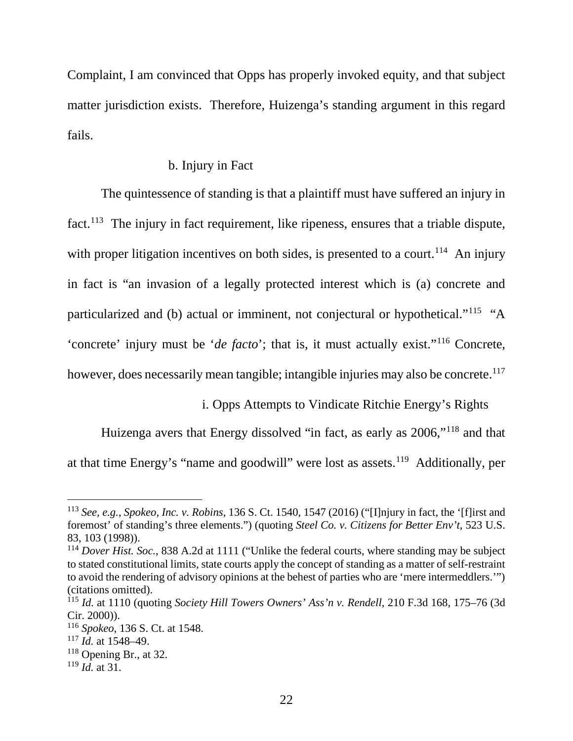Complaint, I am convinced that Opps has properly invoked equity, and that subject matter jurisdiction exists. Therefore, Huizenga's standing argument in this regard fails.

## b. Injury in Fact

The quintessence of standing is that a plaintiff must have suffered an injury in fact.<sup>113</sup> The injury in fact requirement, like ripeness, ensures that a triable dispute, with proper litigation incentives on both sides, is presented to a court.<sup>114</sup> An injury in fact is "an invasion of a legally protected interest which is (a) concrete and particularized and (b) actual or imminent, not conjectural or hypothetical."115 "A 'concrete' injury must be '*de facto*'; that is, it must actually exist."116 Concrete, however, does necessarily mean tangible; intangible injuries may also be concrete. <sup>117</sup>

i. Opps Attempts to Vindicate Ritchie Energy's Rights

Huizenga avers that Energy dissolved "in fact, as early as 2006,"118 and that at that time Energy's "name and goodwill" were lost as assets.119 Additionally, per

 <sup>113</sup> *See, e.g.*, *Spokeo, Inc. v. Robins*, 136 S. Ct. 1540, 1547 (2016) ("[I]njury in fact, the '[f]irst and foremost' of standing's three elements.") (quoting *Steel Co. v. Citizens for Better Env't*, 523 U.S. 83, 103 (1998)).

<sup>114</sup> *Dover Hist. Soc.*, 838 A.2d at 1111 ("Unlike the federal courts, where standing may be subject to stated constitutional limits, state courts apply the concept of standing as a matter of self-restraint to avoid the rendering of advisory opinions at the behest of parties who are 'mere intermeddlers.'") (citations omitted).

<sup>115</sup> *Id.* at 1110 (quoting *Society Hill Towers Owners' Ass'n v. Rendell*, 210 F.3d 168, 175–76 (3d Cir. 2000)).

<sup>116</sup> *Spokeo*, 136 S. Ct. at 1548.

<sup>117</sup> *Id.* at 1548–49.

 $118$  Opening Br., at 32.

<sup>119</sup> *Id.* at 31.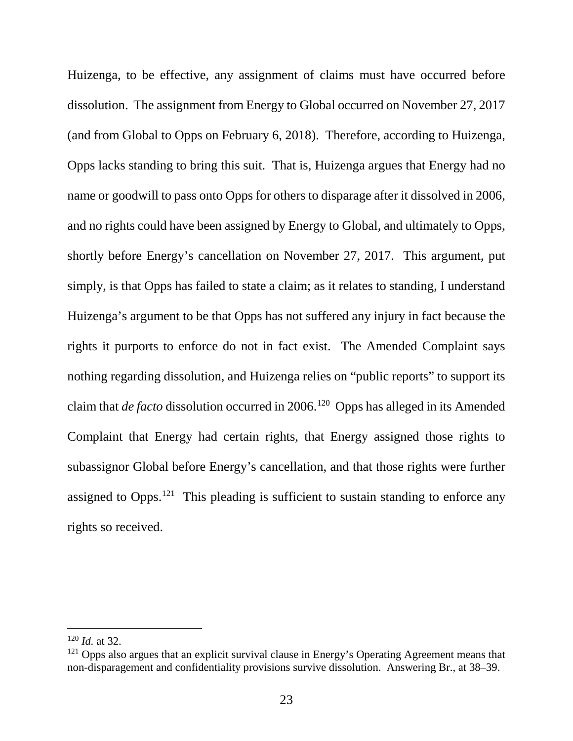Huizenga, to be effective, any assignment of claims must have occurred before dissolution. The assignment from Energy to Global occurred on November 27, 2017 (and from Global to Opps on February 6, 2018). Therefore, according to Huizenga, Opps lacks standing to bring this suit. That is, Huizenga argues that Energy had no name or goodwill to pass onto Opps for others to disparage after it dissolved in 2006, and no rights could have been assigned by Energy to Global, and ultimately to Opps, shortly before Energy's cancellation on November 27, 2017. This argument, put simply, is that Opps has failed to state a claim; as it relates to standing, I understand Huizenga's argument to be that Opps has not suffered any injury in fact because the rights it purports to enforce do not in fact exist. The Amended Complaint says nothing regarding dissolution, and Huizenga relies on "public reports" to support its claim that *de facto* dissolution occurred in 2006.<sup>120</sup> Opps has alleged in its Amended Complaint that Energy had certain rights, that Energy assigned those rights to subassignor Global before Energy's cancellation, and that those rights were further assigned to Opps.<sup>121</sup> This pleading is sufficient to sustain standing to enforce any rights so received.

 <sup>120</sup> *Id.* at 32.

 $121$  Opps also argues that an explicit survival clause in Energy's Operating Agreement means that non-disparagement and confidentiality provisions survive dissolution. Answering Br., at 38–39.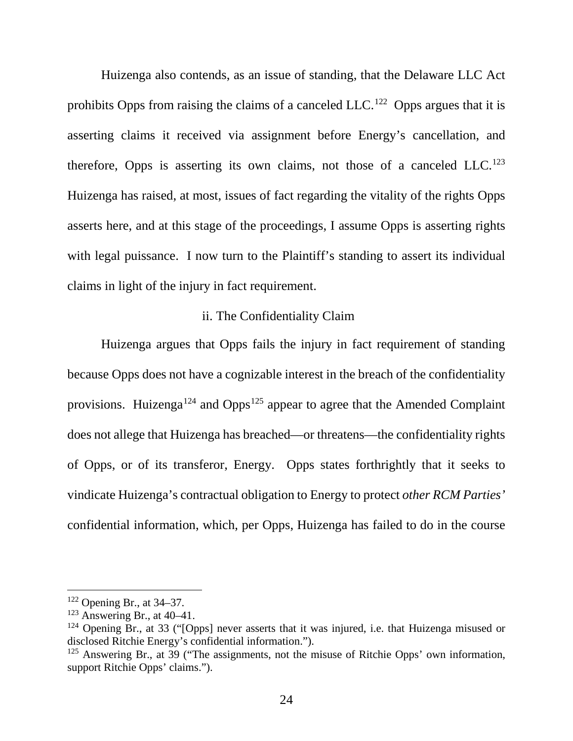Huizenga also contends, as an issue of standing, that the Delaware LLC Act prohibits Opps from raising the claims of a canceled LLC.<sup>122</sup> Opps argues that it is asserting claims it received via assignment before Energy's cancellation, and therefore, Opps is asserting its own claims, not those of a canceled LLC.<sup>123</sup> Huizenga has raised, at most, issues of fact regarding the vitality of the rights Opps asserts here, and at this stage of the proceedings, I assume Opps is asserting rights with legal puissance. I now turn to the Plaintiff's standing to assert its individual claims in light of the injury in fact requirement.

### ii. The Confidentiality Claim

Huizenga argues that Opps fails the injury in fact requirement of standing because Opps does not have a cognizable interest in the breach of the confidentiality provisions. Huizenga<sup>124</sup> and Opps<sup>125</sup> appear to agree that the Amended Complaint does not allege that Huizenga has breached—or threatens—the confidentiality rights of Opps, or of its transferor, Energy. Opps states forthrightly that it seeks to vindicate Huizenga's contractual obligation to Energy to protect *other RCM Parties'* confidential information, which, per Opps, Huizenga has failed to do in the course

 <sup>122</sup> Opening Br., at 34–37.

 $123$  Answering Br., at 40–41.

 $124$  Opening Br., at 33 ("[Opps] never asserts that it was injured, i.e. that Huizenga misused or disclosed Ritchie Energy's confidential information.").

<sup>&</sup>lt;sup>125</sup> Answering Br., at 39 ("The assignments, not the misuse of Ritchie Opps' own information, support Ritchie Opps' claims.").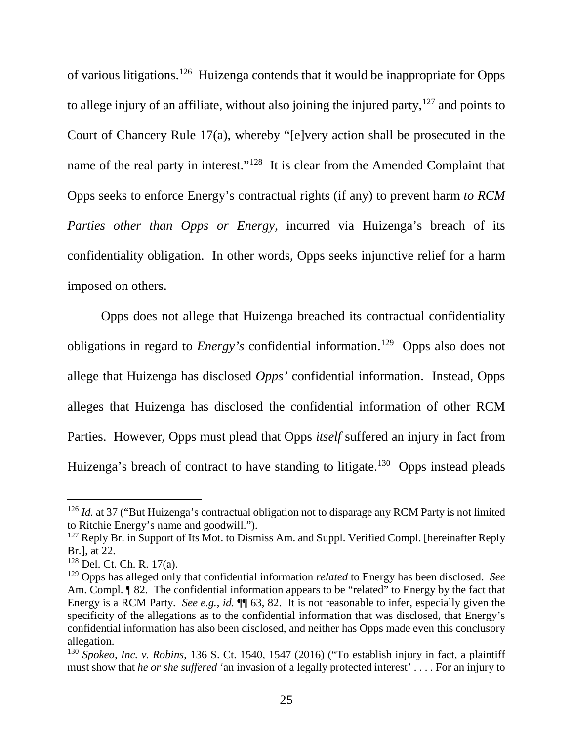of various litigations.<sup>126</sup> Huizenga contends that it would be inappropriate for Opps to allege injury of an affiliate, without also joining the injured party,  $127$  and points to Court of Chancery Rule 17(a), whereby "[e]very action shall be prosecuted in the name of the real party in interest."128 It is clear from the Amended Complaint that Opps seeks to enforce Energy's contractual rights (if any) to prevent harm *to RCM Parties other than Opps or Energy*, incurred via Huizenga's breach of its confidentiality obligation. In other words, Opps seeks injunctive relief for a harm imposed on others.

Opps does not allege that Huizenga breached its contractual confidentiality obligations in regard to *Energy's* confidential information.<sup>129</sup> Opps also does not allege that Huizenga has disclosed *Opps'* confidential information. Instead, Opps alleges that Huizenga has disclosed the confidential information of other RCM Parties. However, Opps must plead that Opps *itself* suffered an injury in fact from Huizenga's breach of contract to have standing to litigate.<sup>130</sup> Opps instead pleads

<sup>&</sup>lt;sup>126</sup> *Id.* at 37 ("But Huizenga's contractual obligation not to disparage any RCM Party is not limited to Ritchie Energy's name and goodwill.").

<sup>&</sup>lt;sup>127</sup> Reply Br. in Support of Its Mot. to Dismiss Am. and Suppl. Verified Compl. [hereinafter Reply Br.], at 22.

<sup>128</sup> Del. Ct. Ch. R. 17(a).

<sup>129</sup> Opps has alleged only that confidential information *related* to Energy has been disclosed. *See* Am. Compl. <sup>¶</sup> 82. The confidential information appears to be "related" to Energy by the fact that Energy is a RCM Party. *See e.g.*, *id.* ¶¶ 63, 82. It is not reasonable to infer, especially given the specificity of the allegations as to the confidential information that was disclosed, that Energy's confidential information has also been disclosed, and neither has Opps made even this conclusory allegation.

<sup>130</sup> *Spokeo, Inc. v. Robins*, 136 S. Ct. 1540, 1547 (2016) ("To establish injury in fact, a plaintiff must show that *he or she suffered* 'an invasion of a legally protected interest' . . . . For an injury to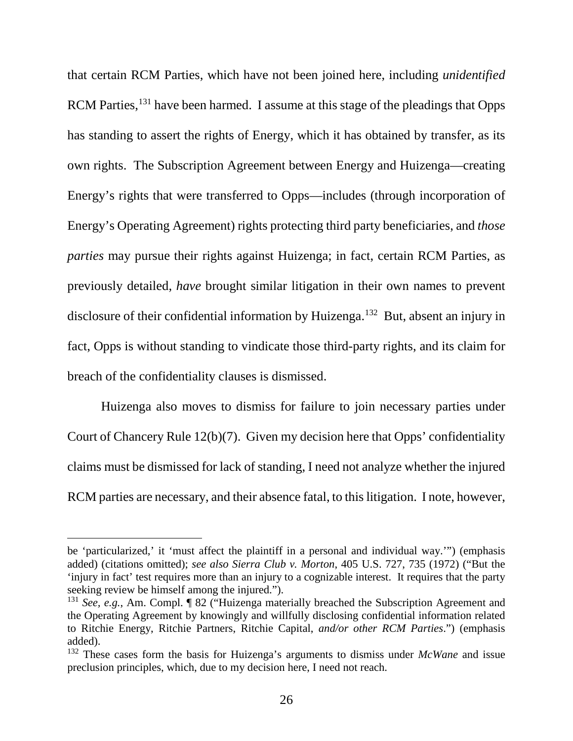that certain RCM Parties, which have not been joined here, including *unidentified* RCM Parties,<sup>131</sup> have been harmed. I assume at this stage of the pleadings that Opps has standing to assert the rights of Energy, which it has obtained by transfer, as its own rights. The Subscription Agreement between Energy and Huizenga—creating Energy's rights that were transferred to Opps—includes (through incorporation of Energy's Operating Agreement) rights protecting third party beneficiaries, and *those parties* may pursue their rights against Huizenga; in fact, certain RCM Parties, as previously detailed, *have* brought similar litigation in their own names to prevent disclosure of their confidential information by Huizenga.<sup>132</sup> But, absent an injury in fact, Opps is without standing to vindicate those third-party rights, and its claim for breach of the confidentiality clauses is dismissed.

Huizenga also moves to dismiss for failure to join necessary parties under Court of Chancery Rule 12(b)(7). Given my decision here that Opps' confidentiality claims must be dismissed for lack of standing, I need not analyze whether the injured RCM parties are necessary, and their absence fatal, to this litigation. I note, however,

 $\overline{a}$ 

be 'particularized,' it 'must affect the plaintiff in a personal and individual way.'") (emphasis added) (citations omitted); *see also Sierra Club v. Morton*, 405 U.S. 727, 735 (1972) ("But the 'injury in fact' test requires more than an injury to a cognizable interest. It requires that the party seeking review be himself among the injured.").

<sup>131</sup> *See, e.g.*, Am. Compl. ¶ 82 ("Huizenga materially breached the Subscription Agreement and the Operating Agreement by knowingly and willfully disclosing confidential information related to Ritchie Energy, Ritchie Partners, Ritchie Capital, *and/or other RCM Parties*.") (emphasis added).

<sup>132</sup> These cases form the basis for Huizenga's arguments to dismiss under *McWane* and issue preclusion principles, which, due to my decision here, I need not reach.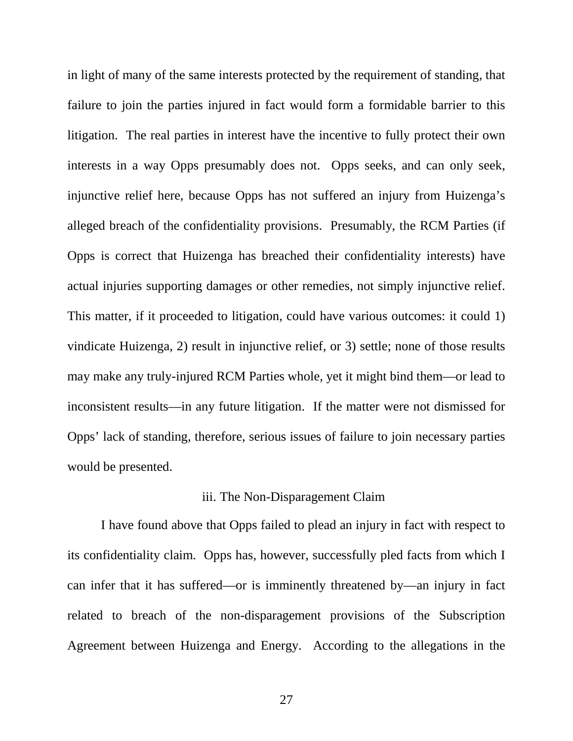in light of many of the same interests protected by the requirement of standing, that failure to join the parties injured in fact would form a formidable barrier to this litigation. The real parties in interest have the incentive to fully protect their own interests in a way Opps presumably does not. Opps seeks, and can only seek, injunctive relief here, because Opps has not suffered an injury from Huizenga's alleged breach of the confidentiality provisions. Presumably, the RCM Parties (if Opps is correct that Huizenga has breached their confidentiality interests) have actual injuries supporting damages or other remedies, not simply injunctive relief. This matter, if it proceeded to litigation, could have various outcomes: it could 1) vindicate Huizenga, 2) result in injunctive relief, or 3) settle; none of those results may make any truly-injured RCM Parties whole, yet it might bind them—or lead to inconsistent results—in any future litigation. If the matter were not dismissed for Opps' lack of standing, therefore, serious issues of failure to join necessary parties would be presented.

## iii. The Non-Disparagement Claim

I have found above that Opps failed to plead an injury in fact with respect to its confidentiality claim. Opps has, however, successfully pled facts from which I can infer that it has suffered—or is imminently threatened by—an injury in fact related to breach of the non-disparagement provisions of the Subscription Agreement between Huizenga and Energy. According to the allegations in the

27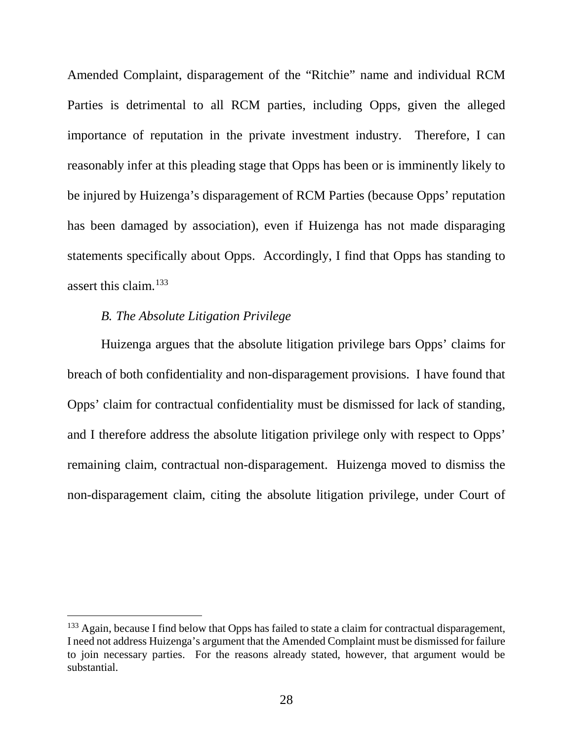Amended Complaint, disparagement of the "Ritchie" name and individual RCM Parties is detrimental to all RCM parties, including Opps, given the alleged importance of reputation in the private investment industry. Therefore, I can reasonably infer at this pleading stage that Opps has been or is imminently likely to be injured by Huizenga's disparagement of RCM Parties (because Opps' reputation has been damaged by association), even if Huizenga has not made disparaging statements specifically about Opps. Accordingly, I find that Opps has standing to assert this claim.133

### *B. The Absolute Litigation Privilege*

Huizenga argues that the absolute litigation privilege bars Opps' claims for breach of both confidentiality and non-disparagement provisions. I have found that Opps' claim for contractual confidentiality must be dismissed for lack of standing, and I therefore address the absolute litigation privilege only with respect to Opps' remaining claim, contractual non-disparagement. Huizenga moved to dismiss the non-disparagement claim, citing the absolute litigation privilege, under Court of

<sup>&</sup>lt;sup>133</sup> Again, because I find below that Opps has failed to state a claim for contractual disparagement, I need not address Huizenga's argument that the Amended Complaint must be dismissed for failure to join necessary parties. For the reasons already stated, however, that argument would be substantial.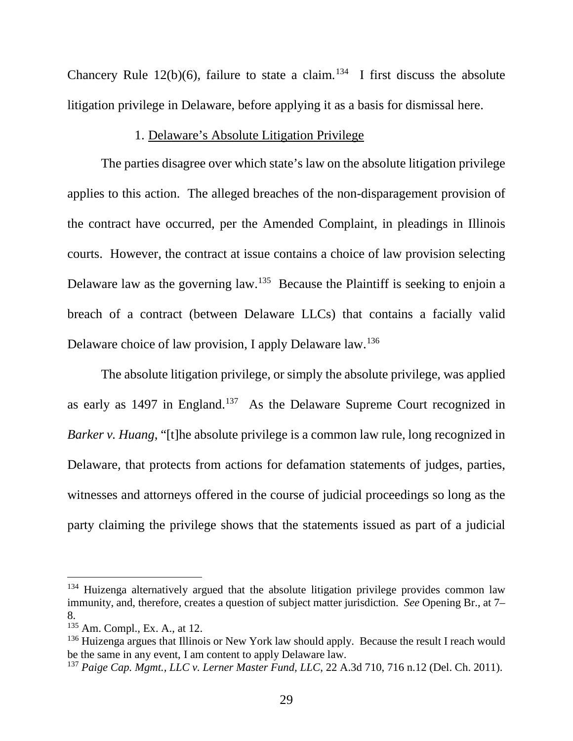Chancery Rule 12(b)(6), failure to state a claim.<sup>134</sup> I first discuss the absolute litigation privilege in Delaware, before applying it as a basis for dismissal here.

# 1. Delaware's Absolute Litigation Privilege

The parties disagree over which state's law on the absolute litigation privilege applies to this action. The alleged breaches of the non-disparagement provision of the contract have occurred, per the Amended Complaint, in pleadings in Illinois courts. However, the contract at issue contains a choice of law provision selecting Delaware law as the governing law.<sup>135</sup> Because the Plaintiff is seeking to enjoin a breach of a contract (between Delaware LLCs) that contains a facially valid Delaware choice of law provision, I apply Delaware law.<sup>136</sup>

The absolute litigation privilege, or simply the absolute privilege, was applied as early as 1497 in England.137 As the Delaware Supreme Court recognized in *Barker v. Huang*, "[t]he absolute privilege is a common law rule, long recognized in Delaware, that protects from actions for defamation statements of judges, parties, witnesses and attorneys offered in the course of judicial proceedings so long as the party claiming the privilege shows that the statements issued as part of a judicial

 $134$  Huizenga alternatively argued that the absolute litigation privilege provides common law immunity, and, therefore, creates a question of subject matter jurisdiction. *See* Opening Br., at 7– 8.

<sup>135</sup> Am. Compl., Ex. A., at 12.

<sup>&</sup>lt;sup>136</sup> Huizenga argues that Illinois or New York law should apply. Because the result I reach would be the same in any event. I am content to apply Delaware law.

<sup>137</sup> *Paige Cap. Mgmt., LLC v. Lerner Master Fund, LLC*, 22 A.3d 710, 716 n.12 (Del. Ch. 2011).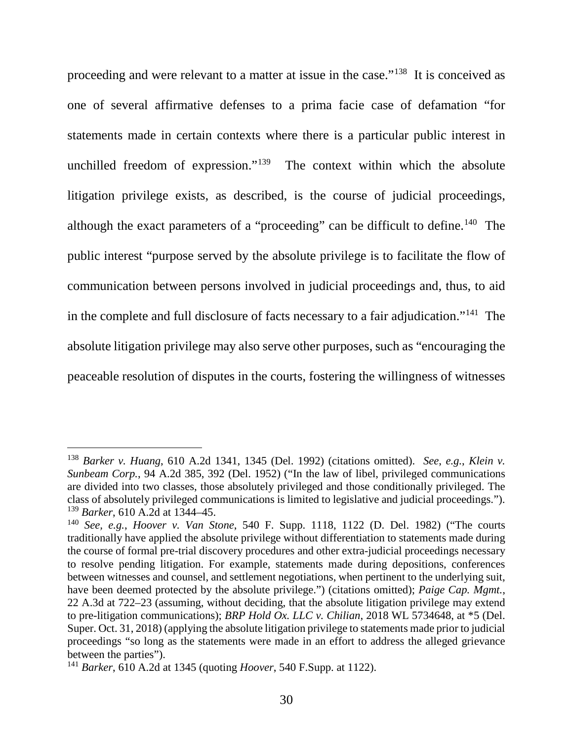proceeding and were relevant to a matter at issue in the case."138 It is conceived as one of several affirmative defenses to a prima facie case of defamation "for statements made in certain contexts where there is a particular public interest in unchilled freedom of expression."<sup>139</sup> The context within which the absolute litigation privilege exists, as described, is the course of judicial proceedings, although the exact parameters of a "proceeding" can be difficult to define.140 The public interest "purpose served by the absolute privilege is to facilitate the flow of communication between persons involved in judicial proceedings and, thus, to aid in the complete and full disclosure of facts necessary to a fair adjudication."141 The absolute litigation privilege may also serve other purposes, such as "encouraging the peaceable resolution of disputes in the courts, fostering the willingness of witnesses

 <sup>138</sup> *Barker v. Huang*, 610 A.2d 1341, 1345 (Del. 1992) (citations omitted). *See*, *e.g.*, *Klein v. Sunbeam Corp.*, 94 A.2d 385, 392 (Del. 1952) ("In the law of libel, privileged communications are divided into two classes, those absolutely privileged and those conditionally privileged. The class of absolutely privileged communications is limited to legislative and judicial proceedings."). <sup>139</sup> *Barker*, 610 A.2d at 1344–45.

<sup>140</sup> *See, e.g.*, *Hoover v. Van Stone*, 540 F. Supp. 1118, 1122 (D. Del. 1982) ("The courts traditionally have applied the absolute privilege without differentiation to statements made during the course of formal pre-trial discovery procedures and other extra-judicial proceedings necessary to resolve pending litigation. For example, statements made during depositions, conferences between witnesses and counsel, and settlement negotiations, when pertinent to the underlying suit, have been deemed protected by the absolute privilege.") (citations omitted); *Paige Cap. Mgmt.*, 22 A.3d at 722–23 (assuming, without deciding, that the absolute litigation privilege may extend to pre-litigation communications); *BRP Hold Ox. LLC v. Chilian*, 2018 WL 5734648, at \*5 (Del. Super. Oct. 31, 2018) (applying the absolute litigation privilege to statements made prior to judicial proceedings "so long as the statements were made in an effort to address the alleged grievance between the parties").

<sup>141</sup> *Barker*, 610 A.2d at 1345 (quoting *Hoover*, 540 F.Supp. at 1122).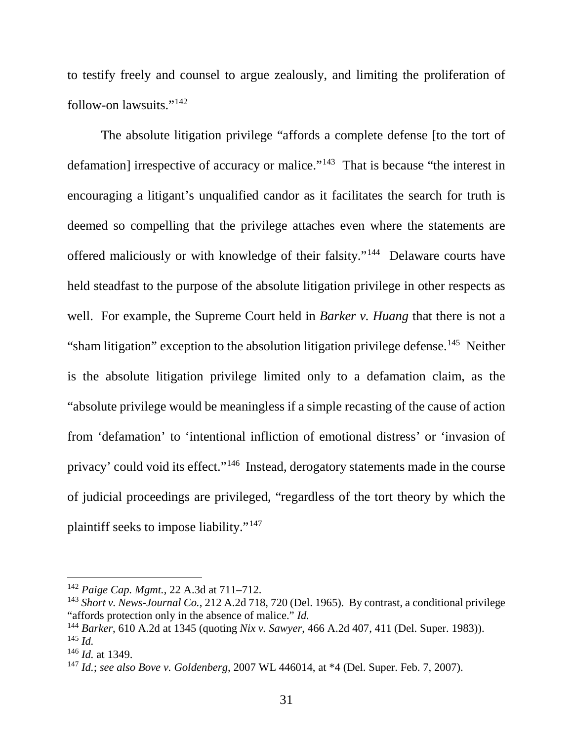to testify freely and counsel to argue zealously, and limiting the proliferation of follow-on lawsuits."142

The absolute litigation privilege "affords a complete defense [to the tort of defamation] irrespective of accuracy or malice."<sup>143</sup> That is because "the interest in encouraging a litigant's unqualified candor as it facilitates the search for truth is deemed so compelling that the privilege attaches even where the statements are offered maliciously or with knowledge of their falsity."144 Delaware courts have held steadfast to the purpose of the absolute litigation privilege in other respects as well. For example, the Supreme Court held in *Barker v. Huang* that there is not a "sham litigation" exception to the absolution litigation privilege defense.<sup>145</sup> Neither is the absolute litigation privilege limited only to a defamation claim, as the "absolute privilege would be meaningless if a simple recasting of the cause of action from 'defamation' to 'intentional infliction of emotional distress' or 'invasion of privacy' could void its effect."<sup>146</sup> Instead, derogatory statements made in the course of judicial proceedings are privileged, "regardless of the tort theory by which the plaintiff seeks to impose liability."147

 <sup>142</sup> *Paige Cap. Mgmt.*, 22 A.3d at 711–712.

<sup>143</sup> *Short v. News-Journal Co.*, 212 A.2d 718, 720 (Del. 1965). By contrast, a conditional privilege "affords protection only in the absence of malice." *Id.*

<sup>144</sup> *Barker*, 610 A.2d at 1345 (quoting *Nix v. Sawyer*, 466 A.2d 407, 411 (Del. Super. 1983)). <sup>145</sup> *Id.*

<sup>146</sup> *Id.* at 1349.

<sup>147</sup> *Id.*; *see also Bove v. Goldenberg*, 2007 WL 446014, at \*4 (Del. Super. Feb. 7, 2007).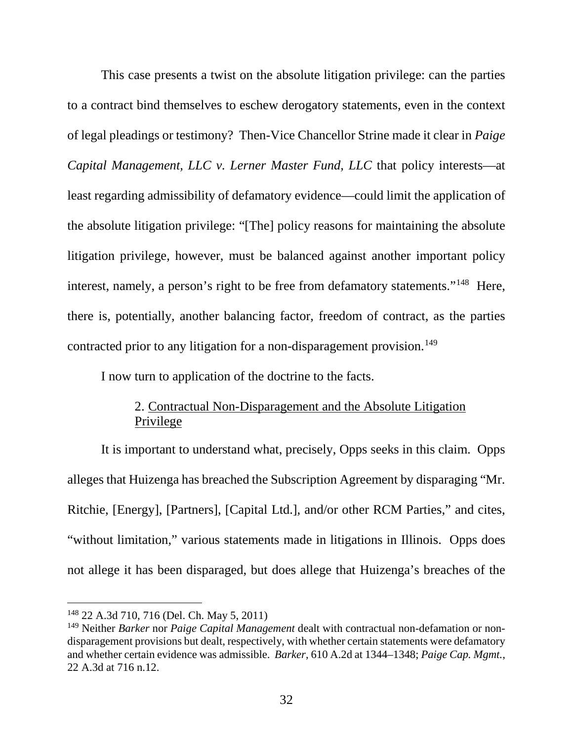This case presents a twist on the absolute litigation privilege: can the parties to a contract bind themselves to eschew derogatory statements, even in the context of legal pleadings or testimony? Then-Vice Chancellor Strine made it clear in *Paige Capital Management, LLC v. Lerner Master Fund, LLC* that policy interests—at least regarding admissibility of defamatory evidence—could limit the application of the absolute litigation privilege: "[The] policy reasons for maintaining the absolute litigation privilege, however, must be balanced against another important policy interest, namely, a person's right to be free from defamatory statements."<sup>148</sup> Here, there is, potentially, another balancing factor, freedom of contract, as the parties contracted prior to any litigation for a non-disparagement provision.<sup>149</sup>

I now turn to application of the doctrine to the facts.

# 2. Contractual Non-Disparagement and the Absolute Litigation Privilege

It is important to understand what, precisely, Opps seeks in this claim. Opps alleges that Huizenga has breached the Subscription Agreement by disparaging "Mr. Ritchie, [Energy], [Partners], [Capital Ltd.], and/or other RCM Parties," and cites, "without limitation," various statements made in litigations in Illinois. Opps does not allege it has been disparaged, but does allege that Huizenga's breaches of the

 <sup>148</sup> 22 A.3d 710, 716 (Del. Ch. May 5, 2011)

<sup>149</sup> Neither *Barker* nor *Paige Capital Management* dealt with contractual non-defamation or nondisparagement provisions but dealt, respectively, with whether certain statements were defamatory and whether certain evidence was admissible. *Barker*, 610 A.2d at 1344–1348; *Paige Cap. Mgmt.*, 22 A.3d at 716 n.12.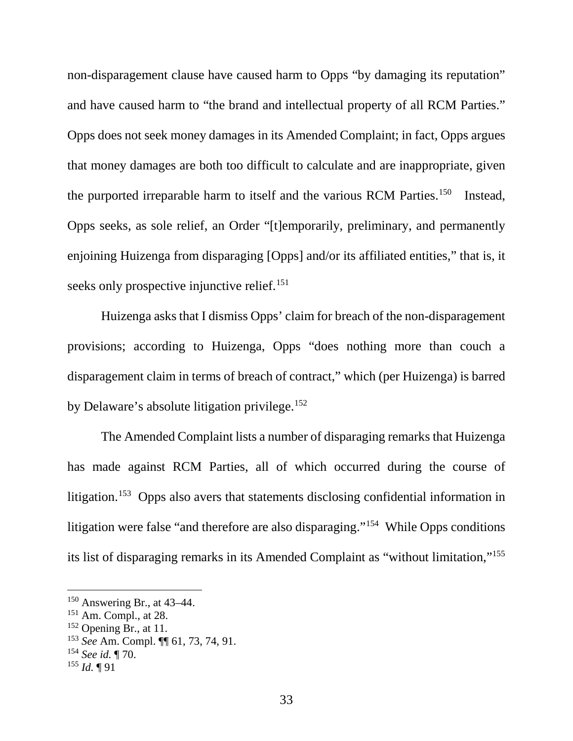non-disparagement clause have caused harm to Opps "by damaging its reputation" and have caused harm to "the brand and intellectual property of all RCM Parties." Opps does not seek money damages in its Amended Complaint; in fact, Opps argues that money damages are both too difficult to calculate and are inappropriate, given the purported irreparable harm to itself and the various RCM Parties.<sup>150</sup> Instead, Opps seeks, as sole relief, an Order "[t]emporarily, preliminary, and permanently enjoining Huizenga from disparaging [Opps] and/or its affiliated entities," that is, it seeks only prospective injunctive relief.<sup>151</sup>

Huizenga asks that I dismiss Opps' claim for breach of the non-disparagement provisions; according to Huizenga, Opps "does nothing more than couch a disparagement claim in terms of breach of contract," which (per Huizenga) is barred by Delaware's absolute litigation privilege.152

The Amended Complaint lists a number of disparaging remarks that Huizenga has made against RCM Parties, all of which occurred during the course of litigation.153 Opps also avers that statements disclosing confidential information in litigation were false "and therefore are also disparaging."154 While Opps conditions its list of disparaging remarks in its Amended Complaint as "without limitation,"155

 <sup>150</sup> Answering Br., at 43–44.

<sup>151</sup> Am. Compl., at 28.

 $152$  Opening Br., at 11.

<sup>153</sup> *See* Am. Compl. ¶¶ 61, 73, 74, 91.

<sup>154</sup> *See id.* ¶ 70.

 $^{155}$  *Id.*  $\P$  91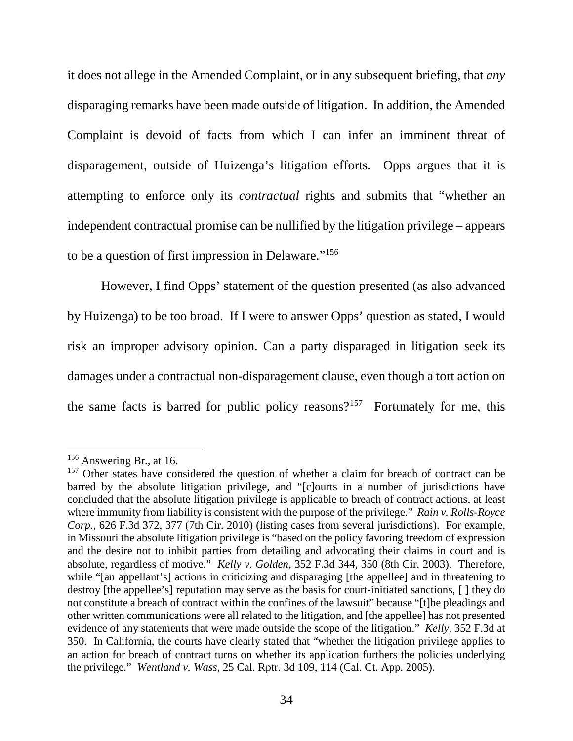it does not allege in the Amended Complaint, or in any subsequent briefing, that *any* disparaging remarks have been made outside of litigation. In addition, the Amended Complaint is devoid of facts from which I can infer an imminent threat of disparagement, outside of Huizenga's litigation efforts. Opps argues that it is attempting to enforce only its *contractual* rights and submits that "whether an independent contractual promise can be nullified by the litigation privilege – appears to be a question of first impression in Delaware."156

However, I find Opps' statement of the question presented (as also advanced by Huizenga) to be too broad. If I were to answer Opps' question as stated, I would risk an improper advisory opinion. Can a party disparaged in litigation seek its damages under a contractual non-disparagement clause, even though a tort action on the same facts is barred for public policy reasons?<sup>157</sup> Fortunately for me, this

<sup>&</sup>lt;sup>156</sup> Answering Br., at 16.

<sup>&</sup>lt;sup>157</sup> Other states have considered the question of whether a claim for breach of contract can be barred by the absolute litigation privilege, and "[c]ourts in a number of jurisdictions have concluded that the absolute litigation privilege is applicable to breach of contract actions, at least where immunity from liability is consistent with the purpose of the privilege." *Rain v. Rolls-Royce Corp.*, 626 F.3d 372, 377 (7th Cir. 2010) (listing cases from several jurisdictions). For example, in Missouri the absolute litigation privilege is "based on the policy favoring freedom of expression and the desire not to inhibit parties from detailing and advocating their claims in court and is absolute, regardless of motive." *Kelly v. Golden*, 352 F.3d 344, 350 (8th Cir. 2003). Therefore, while "[an appellant's] actions in criticizing and disparaging [the appellee] and in threatening to destroy [the appellee's] reputation may serve as the basis for court-initiated sanctions, [ ] they do not constitute a breach of contract within the confines of the lawsuit" because "[t]he pleadings and other written communications were all related to the litigation, and [the appellee] has not presented evidence of any statements that were made outside the scope of the litigation." *Kelly*, 352 F.3d at 350. In California, the courts have clearly stated that "whether the litigation privilege applies to an action for breach of contract turns on whether its application furthers the policies underlying the privilege." *Wentland v. Wass*, 25 Cal. Rptr. 3d 109, 114 (Cal. Ct. App. 2005).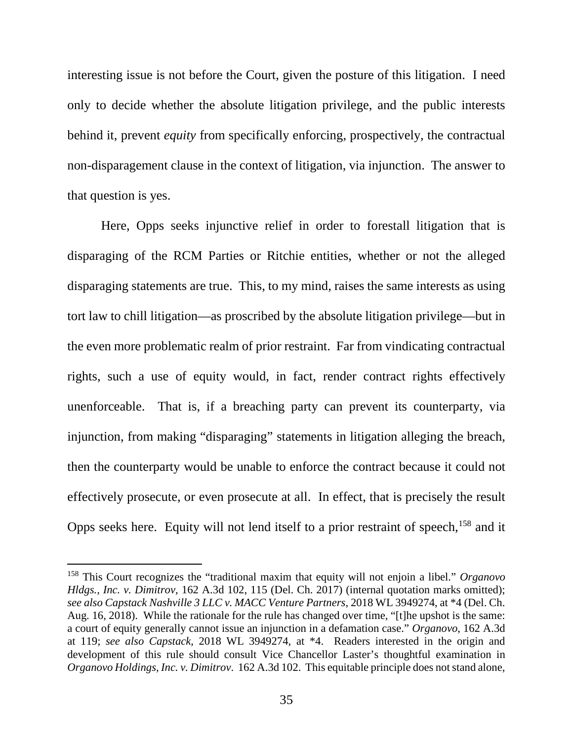interesting issue is not before the Court, given the posture of this litigation. I need only to decide whether the absolute litigation privilege, and the public interests behind it, prevent *equity* from specifically enforcing, prospectively, the contractual non-disparagement clause in the context of litigation, via injunction. The answer to that question is yes.

Here, Opps seeks injunctive relief in order to forestall litigation that is disparaging of the RCM Parties or Ritchie entities, whether or not the alleged disparaging statements are true. This, to my mind, raises the same interests as using tort law to chill litigation—as proscribed by the absolute litigation privilege—but in the even more problematic realm of prior restraint. Far from vindicating contractual rights, such a use of equity would, in fact, render contract rights effectively unenforceable. That is, if a breaching party can prevent its counterparty, via injunction, from making "disparaging" statements in litigation alleging the breach, then the counterparty would be unable to enforce the contract because it could not effectively prosecute, or even prosecute at all. In effect, that is precisely the result Opps seeks here. Equity will not lend itself to a prior restraint of speech,  $158$  and it

 <sup>158</sup> This Court recognizes the "traditional maxim that equity will not enjoin a libel." *Organovo Hldgs., Inc. v. Dimitrov*, 162 A.3d 102, 115 (Del. Ch. 2017) (internal quotation marks omitted); *see also Capstack Nashville 3 LLC v. MACC Venture Partners*, 2018 WL 3949274, at \*4 (Del. Ch. Aug. 16, 2018). While the rationale for the rule has changed over time, "[t]he upshot is the same: a court of equity generally cannot issue an injunction in a defamation case." *Organovo*, 162 A.3d at 119; *see also Capstack*, 2018 WL 3949274, at \*4. Readers interested in the origin and development of this rule should consult Vice Chancellor Laster's thoughtful examination in *Organovo Holdings, Inc. v. Dimitrov*. 162 A.3d 102. This equitable principle does not stand alone,